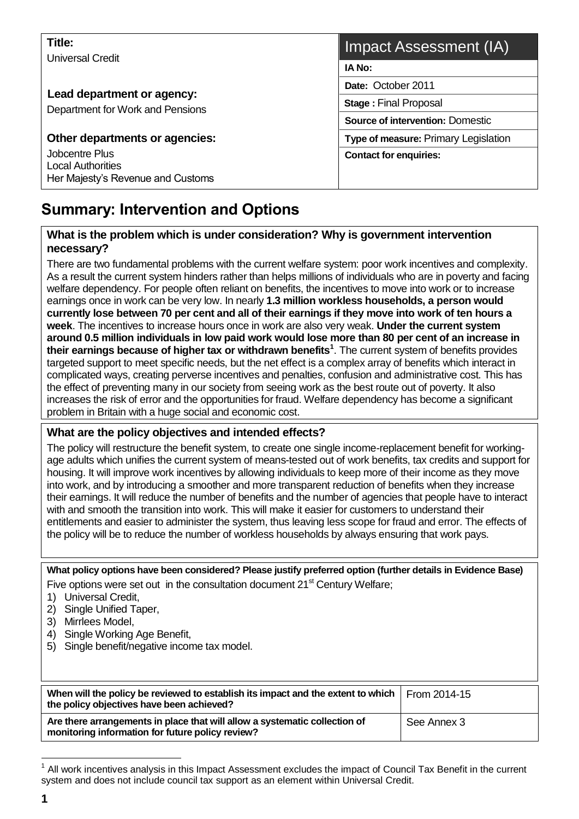| Title:<br>Universal Credit                                                      | Impact Assessment (IA)                      |  |  |  |
|---------------------------------------------------------------------------------|---------------------------------------------|--|--|--|
|                                                                                 | IA No:                                      |  |  |  |
| Lead department or agency:<br>Department for Work and Pensions                  | Date: October 2011                          |  |  |  |
|                                                                                 | <b>Stage: Final Proposal</b>                |  |  |  |
|                                                                                 | <b>Source of intervention: Domestic</b>     |  |  |  |
| Other departments or agencies:                                                  | <b>Type of measure: Primary Legislation</b> |  |  |  |
| Jobcentre Plus<br><b>Local Authorities</b><br>Her Majesty's Revenue and Customs | <b>Contact for enquiries:</b>               |  |  |  |

# **Summary: Intervention and Options**

#### **What is the problem which is under consideration? Why is government intervention necessary?**

There are two fundamental problems with the current welfare system: poor work incentives and complexity. As a result the current system hinders rather than helps millions of individuals who are in poverty and facing welfare dependency. For people often reliant on benefits, the incentives to move into work or to increase earnings once in work can be very low. In nearly **1.3 million workless households, a person would currently lose between 70 per cent and all of their earnings if they move into work of ten hours a week**. The incentives to increase hours once in work are also very weak. **Under the current system around 0.5 million individuals in low paid work would lose more than 80 per cent of an increase in their earnings because of higher tax or withdrawn benefits<sup>1</sup>** . The current system of benefits provides targeted support to meet specific needs, but the net effect is a complex array of benefits which interact in complicated ways, creating perverse incentives and penalties, confusion and administrative cost. This has the effect of preventing many in our society from seeing work as the best route out of poverty. It also increases the risk of error and the opportunities for fraud. Welfare dependency has become a significant problem in Britain with a huge social and economic cost.

#### **What are the policy objectives and intended effects?**

The policy will restructure the benefit system, to create one single income-replacement benefit for workingage adults which unifies the current system of means-tested out of work benefits, tax credits and support for housing. It will improve work incentives by allowing individuals to keep more of their income as they move into work, and by introducing a smoother and more transparent reduction of benefits when they increase their earnings. It will reduce the number of benefits and the number of agencies that people have to interact with and smooth the transition into work. This will make it easier for customers to understand their entitlements and easier to administer the system, thus leaving less scope for fraud and error. The effects of the policy will be to reduce the number of workless households by always ensuring that work pays.

**What policy options have been considered? Please justify preferred option (further details in Evidence Base)** Five options were set out in the consultation document  $21<sup>st</sup>$  Century Welfare;

- 1) Universal Credit,
- 2) Single Unified Taper,
- 3) Mirrlees Model,
- 4) Single Working Age Benefit,
- 5) Single benefit/negative income tax model.

| When will the policy be reviewed to establish its impact and the extent to which<br>the policy objectives have been achieved?  | From 2014-15 |
|--------------------------------------------------------------------------------------------------------------------------------|--------------|
| Are there arrangements in place that will allow a systematic collection of<br>monitoring information for future policy review? | See Annex 3  |

 $1$  All work incentives analysis in this Impact Assessment excludes the impact of Council Tax Benefit in the current system and does not include council tax support as an element within Universal Credit.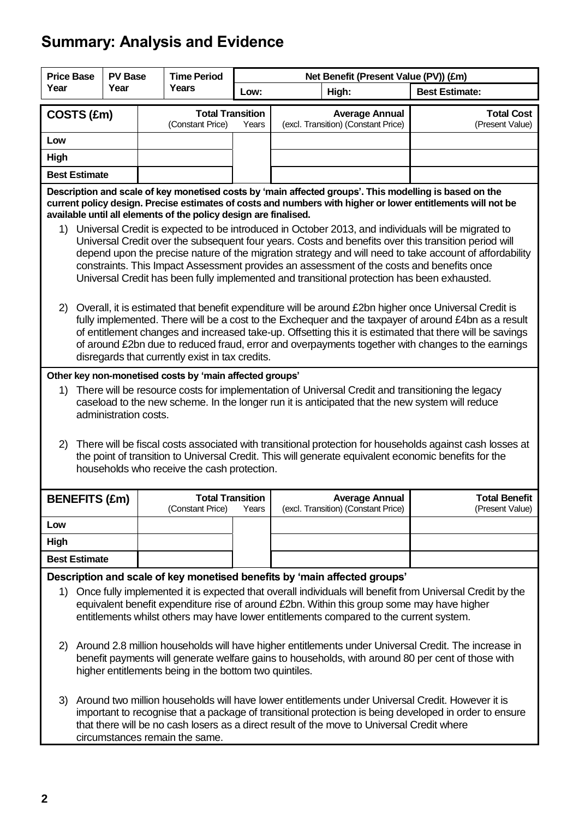# **Summary: Analysis and Evidence**

| <b>Price Base</b>                                                                                                                                                                                                                                                                                                                                                                |                                                                                                                                                                                                                                                                                                                                            | <b>PV Base</b>        |  | <b>Time Period</b>                                      |       | Net Benefit (Present Value (PV)) (£m) |                                                              |                                                                                                                                                                                                                                                                                                                                                                                                                                                                                                                   |
|----------------------------------------------------------------------------------------------------------------------------------------------------------------------------------------------------------------------------------------------------------------------------------------------------------------------------------------------------------------------------------|--------------------------------------------------------------------------------------------------------------------------------------------------------------------------------------------------------------------------------------------------------------------------------------------------------------------------------------------|-----------------------|--|---------------------------------------------------------|-------|---------------------------------------|--------------------------------------------------------------|-------------------------------------------------------------------------------------------------------------------------------------------------------------------------------------------------------------------------------------------------------------------------------------------------------------------------------------------------------------------------------------------------------------------------------------------------------------------------------------------------------------------|
| Year                                                                                                                                                                                                                                                                                                                                                                             |                                                                                                                                                                                                                                                                                                                                            | Year                  |  | <b>Years</b>                                            | Low:  | High:                                 |                                                              | <b>Best Estimate:</b>                                                                                                                                                                                                                                                                                                                                                                                                                                                                                             |
|                                                                                                                                                                                                                                                                                                                                                                                  | COSTS (£m)                                                                                                                                                                                                                                                                                                                                 |                       |  | <b>Total Transition</b><br>(Constant Price)             | Years |                                       | <b>Average Annual</b><br>(excl. Transition) (Constant Price) | <b>Total Cost</b><br>(Present Value)                                                                                                                                                                                                                                                                                                                                                                                                                                                                              |
| Low                                                                                                                                                                                                                                                                                                                                                                              |                                                                                                                                                                                                                                                                                                                                            |                       |  |                                                         |       |                                       |                                                              |                                                                                                                                                                                                                                                                                                                                                                                                                                                                                                                   |
| High                                                                                                                                                                                                                                                                                                                                                                             |                                                                                                                                                                                                                                                                                                                                            |                       |  |                                                         |       |                                       |                                                              |                                                                                                                                                                                                                                                                                                                                                                                                                                                                                                                   |
|                                                                                                                                                                                                                                                                                                                                                                                  | <b>Best Estimate</b>                                                                                                                                                                                                                                                                                                                       |                       |  |                                                         |       |                                       |                                                              |                                                                                                                                                                                                                                                                                                                                                                                                                                                                                                                   |
|                                                                                                                                                                                                                                                                                                                                                                                  | Description and scale of key monetised costs by 'main affected groups'. This modelling is based on the<br>current policy design. Precise estimates of costs and numbers with higher or lower entitlements will not be<br>available until all elements of the policy design are finalised.                                                  |                       |  |                                                         |       |                                       |                                                              |                                                                                                                                                                                                                                                                                                                                                                                                                                                                                                                   |
| 1)                                                                                                                                                                                                                                                                                                                                                                               |                                                                                                                                                                                                                                                                                                                                            |                       |  |                                                         |       |                                       |                                                              | Universal Credit is expected to be introduced in October 2013, and individuals will be migrated to<br>Universal Credit over the subsequent four years. Costs and benefits over this transition period will<br>depend upon the precise nature of the migration strategy and will need to take account of affordability<br>constraints. This Impact Assessment provides an assessment of the costs and benefits once<br>Universal Credit has been fully implemented and transitional protection has been exhausted. |
| (2)                                                                                                                                                                                                                                                                                                                                                                              |                                                                                                                                                                                                                                                                                                                                            |                       |  | disregards that currently exist in tax credits.         |       |                                       |                                                              | Overall, it is estimated that benefit expenditure will be around £2bn higher once Universal Credit is<br>fully implemented. There will be a cost to the Exchequer and the taxpayer of around £4bn as a result<br>of entitlement changes and increased take-up. Offsetting this it is estimated that there will be savings<br>of around £2bn due to reduced fraud, error and overpayments together with changes to the earnings                                                                                    |
|                                                                                                                                                                                                                                                                                                                                                                                  |                                                                                                                                                                                                                                                                                                                                            |                       |  | Other key non-monetised costs by 'main affected groups' |       |                                       |                                                              |                                                                                                                                                                                                                                                                                                                                                                                                                                                                                                                   |
| 1)                                                                                                                                                                                                                                                                                                                                                                               |                                                                                                                                                                                                                                                                                                                                            | administration costs. |  |                                                         |       |                                       |                                                              | There will be resource costs for implementation of Universal Credit and transitioning the legacy<br>caseload to the new scheme. In the longer run it is anticipated that the new system will reduce                                                                                                                                                                                                                                                                                                               |
| 2)                                                                                                                                                                                                                                                                                                                                                                               |                                                                                                                                                                                                                                                                                                                                            |                       |  | households who receive the cash protection.             |       |                                       |                                                              | There will be fiscal costs associated with transitional protection for households against cash losses at<br>the point of transition to Universal Credit. This will generate equivalent economic benefits for the                                                                                                                                                                                                                                                                                                  |
|                                                                                                                                                                                                                                                                                                                                                                                  | <b>BENEFITS (£m)</b>                                                                                                                                                                                                                                                                                                                       |                       |  | <b>Total Transition</b><br>(Constant Price)             | Years |                                       | <b>Average Annual</b><br>(excl. Transition) (Constant Price) | <b>Total Benefit</b><br>(Present Value)                                                                                                                                                                                                                                                                                                                                                                                                                                                                           |
| Low                                                                                                                                                                                                                                                                                                                                                                              |                                                                                                                                                                                                                                                                                                                                            |                       |  |                                                         |       |                                       |                                                              |                                                                                                                                                                                                                                                                                                                                                                                                                                                                                                                   |
| High                                                                                                                                                                                                                                                                                                                                                                             |                                                                                                                                                                                                                                                                                                                                            |                       |  |                                                         |       |                                       |                                                              |                                                                                                                                                                                                                                                                                                                                                                                                                                                                                                                   |
|                                                                                                                                                                                                                                                                                                                                                                                  | <b>Best Estimate</b>                                                                                                                                                                                                                                                                                                                       |                       |  |                                                         |       |                                       |                                                              |                                                                                                                                                                                                                                                                                                                                                                                                                                                                                                                   |
| Description and scale of key monetised benefits by 'main affected groups'<br>1) Once fully implemented it is expected that overall individuals will benefit from Universal Credit by the<br>equivalent benefit expenditure rise of around £2bn. Within this group some may have higher<br>entitlements whilst others may have lower entitlements compared to the current system. |                                                                                                                                                                                                                                                                                                                                            |                       |  |                                                         |       |                                       |                                                              |                                                                                                                                                                                                                                                                                                                                                                                                                                                                                                                   |
| 2)                                                                                                                                                                                                                                                                                                                                                                               | Around 2.8 million households will have higher entitlements under Universal Credit. The increase in<br>benefit payments will generate welfare gains to households, with around 80 per cent of those with<br>higher entitlements being in the bottom two quintiles.                                                                         |                       |  |                                                         |       |                                       |                                                              |                                                                                                                                                                                                                                                                                                                                                                                                                                                                                                                   |
| 3)                                                                                                                                                                                                                                                                                                                                                                               | Around two million households will have lower entitlements under Universal Credit. However it is<br>important to recognise that a package of transitional protection is being developed in order to ensure<br>that there will be no cash losers as a direct result of the move to Universal Credit where<br>circumstances remain the same. |                       |  |                                                         |       |                                       |                                                              |                                                                                                                                                                                                                                                                                                                                                                                                                                                                                                                   |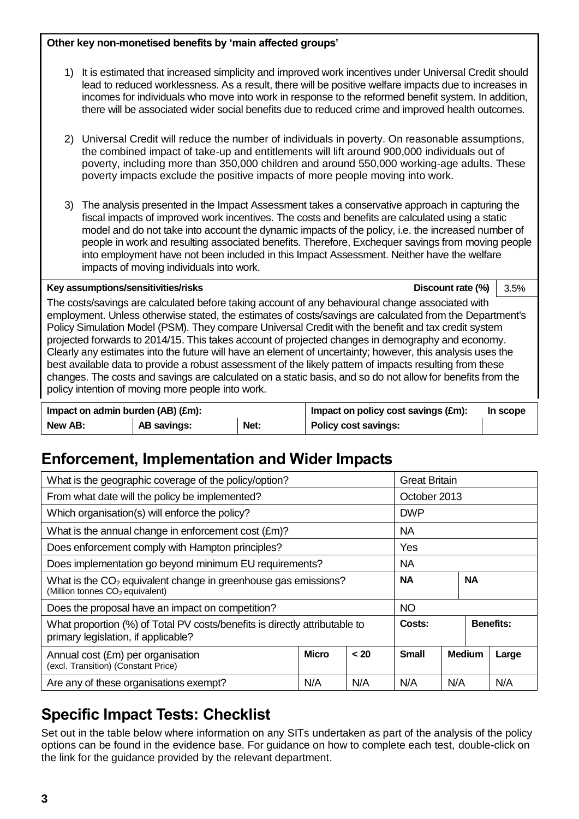#### **Other key non-monetised benefits by 'main affected groups'**

- 1) It is estimated that increased simplicity and improved work incentives under Universal Credit should lead to reduced worklessness. As a result, there will be positive welfare impacts due to increases in incomes for individuals who move into work in response to the reformed benefit system. In addition, there will be associated wider social benefits due to reduced crime and improved health outcomes.
- 2) Universal Credit will reduce the number of individuals in poverty. On reasonable assumptions, the combined impact of take-up and entitlements will lift around 900,000 individuals out of poverty, including more than 350,000 children and around 550,000 working-age adults. These poverty impacts exclude the positive impacts of more people moving into work.
- 3) The analysis presented in the Impact Assessment takes a conservative approach in capturing the fiscal impacts of improved work incentives. The costs and benefits are calculated using a static model and do not take into account the dynamic impacts of the policy, i.e. the increased number of people in work and resulting associated benefits. Therefore, Exchequer savings from moving people into employment have not been included in this Impact Assessment. Neither have the welfare impacts of moving individuals into work.

#### **Key assumptions/sensitivities/risks Discount rate (%)** 3.5%

The costs/savings are calculated before taking account of any behavioural change associated with employment. Unless otherwise stated, the estimates of costs/savings are calculated from the Department's Policy Simulation Model (PSM). They compare Universal Credit with the benefit and tax credit system projected forwards to 2014/15. This takes account of projected changes in demography and economy. Clearly any estimates into the future will have an element of uncertainty; however, this analysis uses the best available data to provide a robust assessment of the likely pattern of impacts resulting from these changes. The costs and savings are calculated on a static basis, and so do not allow for benefits from the policy intention of moving more people into work.

| Impact on admin burden (AB) (£m): |             |      | Impact on policy cost savings (£m): | In scope |
|-----------------------------------|-------------|------|-------------------------------------|----------|
| New AB:                           | AB savings: | Net: | Policy cost savings:                |          |

# **Enforcement, Implementation and Wider Impacts**

| What is the geographic coverage of the policy/option?                                                             | <b>Great Britain</b>                                  |     |            |                  |  |     |
|-------------------------------------------------------------------------------------------------------------------|-------------------------------------------------------|-----|------------|------------------|--|-----|
| From what date will the policy be implemented?                                                                    | October 2013                                          |     |            |                  |  |     |
| Which organisation(s) will enforce the policy?                                                                    |                                                       |     | <b>DWP</b> |                  |  |     |
| What is the annual change in enforcement cost (£m)?                                                               |                                                       |     | <b>NA</b>  |                  |  |     |
| Does enforcement comply with Hampton principles?                                                                  | Yes                                                   |     |            |                  |  |     |
| Does implementation go beyond minimum EU requirements?                                                            |                                                       |     | <b>NA</b>  |                  |  |     |
| What is the $CO2$ equivalent change in greenhouse gas emissions?<br>(Million tonnes CO <sub>2</sub> equivalent)   | <b>NA</b><br><b>NA</b>                                |     |            |                  |  |     |
| Does the proposal have an impact on competition?                                                                  |                                                       |     | <b>NO</b>  |                  |  |     |
| What proportion (%) of Total PV costs/benefits is directly attributable to<br>primary legislation, if applicable? | Costs:                                                |     |            | <b>Benefits:</b> |  |     |
| Annual cost (£m) per organisation<br>(excl. Transition) (Constant Price)                                          | <b>Micro</b><br>< 20<br><b>Small</b><br><b>Medium</b> |     |            | Large            |  |     |
| Are any of these organisations exempt?                                                                            | N/A                                                   | N/A | N/A        | N/A              |  | N/A |

# **Specific Impact Tests: Checklist**

Set out in the table below where information on any SITs undertaken as part of the analysis of the policy options can be found in the evidence base. For guidance on how to complete each test, double-click on the link for the guidance provided by the relevant department.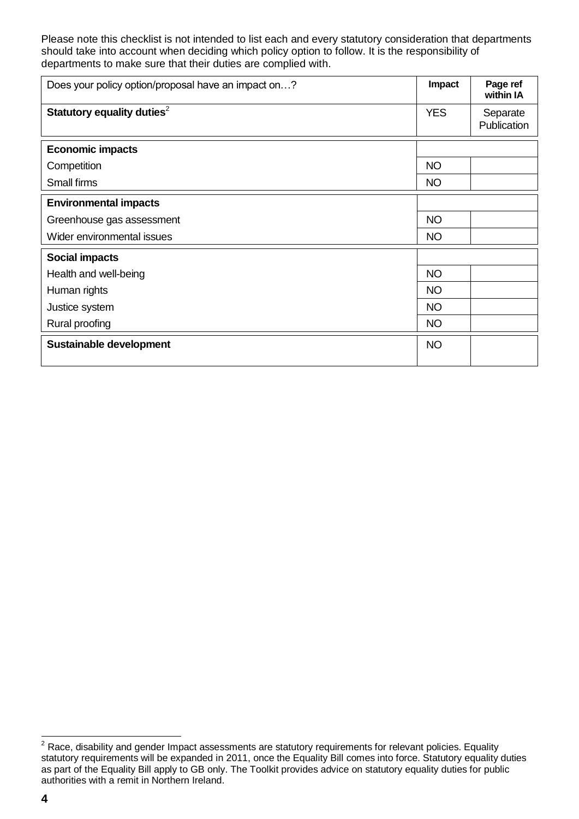Please note this checklist is not intended to list each and every statutory consideration that departments should take into account when deciding which policy option to follow. It is the responsibility of departments to make sure that their duties are complied with.

| Does your policy option/proposal have an impact on? | Impact     | Page ref<br>within IA   |
|-----------------------------------------------------|------------|-------------------------|
| Statutory equality duties <sup>2</sup>              | <b>YES</b> | Separate<br>Publication |
| <b>Economic impacts</b>                             |            |                         |
| Competition                                         | <b>NO</b>  |                         |
| Small firms                                         | <b>NO</b>  |                         |
| <b>Environmental impacts</b>                        |            |                         |
| Greenhouse gas assessment                           | <b>NO</b>  |                         |
| Wider environmental issues                          | <b>NO</b>  |                         |
| <b>Social impacts</b>                               |            |                         |
| Health and well-being                               | <b>NO</b>  |                         |
| Human rights                                        | <b>NO</b>  |                         |
| Justice system                                      | <b>NO</b>  |                         |
| Rural proofing                                      | <b>NO</b>  |                         |
| Sustainable development                             | <b>NO</b>  |                         |

 $\overline{a}$  $2$  Race, disability and gender Impact assessments are statutory requirements for relevant policies. Equality statutory requirements will be expanded in 2011, once the Equality Bill comes into force. Statutory equality duties as part of the Equality Bill apply to GB only. The Toolkit provides advice on statutory equality duties for public authorities with a remit in Northern Ireland.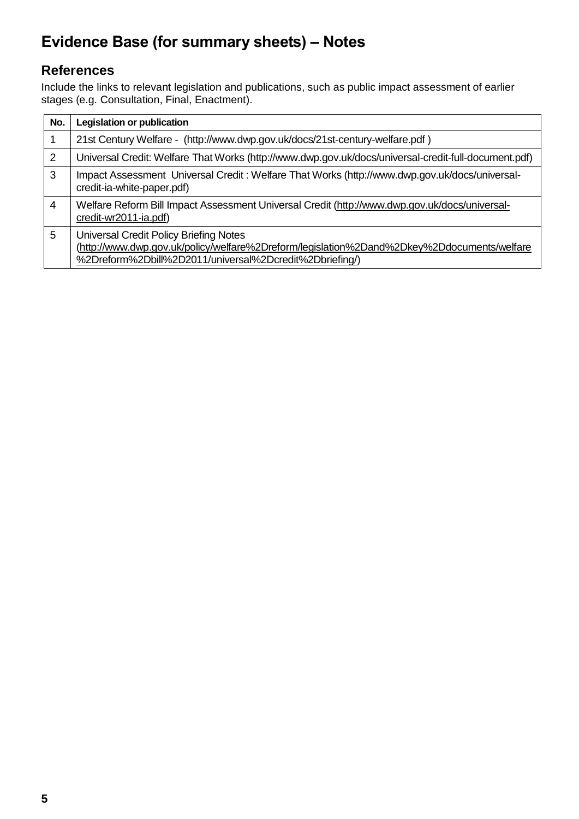# **Evidence Base (for summary sheets) – Notes**

### **References**

Include the links to relevant legislation and publications, such as public impact assessment of earlier stages (e.g. Consultation, Final, Enactment).

| No. | Legislation or publication                                                                                                                                                                             |
|-----|--------------------------------------------------------------------------------------------------------------------------------------------------------------------------------------------------------|
| 1   | 21st Century Welfare - (http://www.dwp.gov.uk/docs/21st-century-welfare.pdf)                                                                                                                           |
| 2   | Universal Credit: Welfare That Works (http://www.dwp.gov.uk/docs/universal-credit-full-document.pdf)                                                                                                   |
| 3   | Impact Assessment Universal Credit: Welfare That Works (http://www.dwp.gov.uk/docs/universal-<br>credit-ia-white-paper.pdf)                                                                            |
| 4   | Welfare Reform Bill Impact Assessment Universal Credit (http://www.dwp.gov.uk/docs/universal-<br>credit-wr2011-ia.pdf)                                                                                 |
| 5   | <b>Universal Credit Policy Briefing Notes</b><br>(http://www.dwp.gov.uk/policy/welfare%2Dreform/legislation%2Dand%2Dkey%2Ddocuments/welfare<br>%2Dreform%2Dbill%2D2011/universal%2Dcredit%2Dbriefing/) |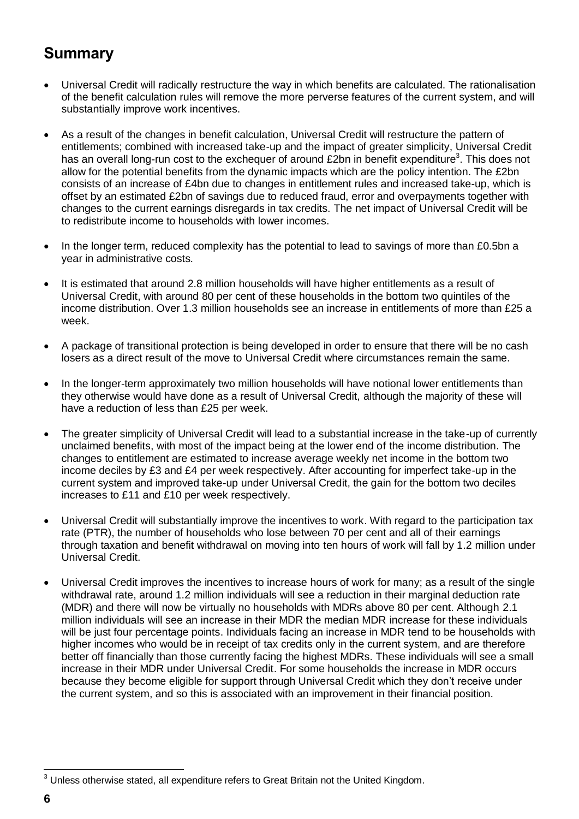# **Summary**

- Universal Credit will radically restructure the way in which benefits are calculated. The rationalisation of the benefit calculation rules will remove the more perverse features of the current system, and will substantially improve work incentives.
- As a result of the changes in benefit calculation, Universal Credit will restructure the pattern of entitlements; combined with increased take-up and the impact of greater simplicity, Universal Credit has an overall long-run cost to the exchequer of around £2bn in benefit expenditure<sup>3</sup>. This does not allow for the potential benefits from the dynamic impacts which are the policy intention. The £2bn consists of an increase of £4bn due to changes in entitlement rules and increased take-up, which is offset by an estimated £2bn of savings due to reduced fraud, error and overpayments together with changes to the current earnings disregards in tax credits. The net impact of Universal Credit will be to redistribute income to households with lower incomes.
- In the longer term, reduced complexity has the potential to lead to savings of more than £0.5bn a year in administrative costs.
- It is estimated that around 2.8 million households will have higher entitlements as a result of Universal Credit, with around 80 per cent of these households in the bottom two quintiles of the income distribution. Over 1.3 million households see an increase in entitlements of more than £25 a week.
- A package of transitional protection is being developed in order to ensure that there will be no cash losers as a direct result of the move to Universal Credit where circumstances remain the same.
- In the longer-term approximately two million households will have notional lower entitlements than they otherwise would have done as a result of Universal Credit, although the majority of these will have a reduction of less than £25 per week.
- The greater simplicity of Universal Credit will lead to a substantial increase in the take-up of currently unclaimed benefits, with most of the impact being at the lower end of the income distribution. The changes to entitlement are estimated to increase average weekly net income in the bottom two income deciles by £3 and £4 per week respectively. After accounting for imperfect take-up in the current system and improved take-up under Universal Credit, the gain for the bottom two deciles increases to £11 and £10 per week respectively.
- Universal Credit will substantially improve the incentives to work. With regard to the participation tax rate (PTR), the number of households who lose between 70 per cent and all of their earnings through taxation and benefit withdrawal on moving into ten hours of work will fall by 1.2 million under Universal Credit.
- Universal Credit improves the incentives to increase hours of work for many; as a result of the single withdrawal rate, around 1.2 million individuals will see a reduction in their marginal deduction rate (MDR) and there will now be virtually no households with MDRs above 80 per cent. Although 2.1 million individuals will see an increase in their MDR the median MDR increase for these individuals will be just four percentage points. Individuals facing an increase in MDR tend to be households with higher incomes who would be in receipt of tax credits only in the current system, and are therefore better off financially than those currently facing the highest MDRs. These individuals will see a small increase in their MDR under Universal Credit. For some households the increase in MDR occurs because they become eligible for support through Universal Credit which they don't receive under the current system, and so this is associated with an improvement in their financial position.

 $3$  Unless otherwise stated, all expenditure refers to Great Britain not the United Kingdom.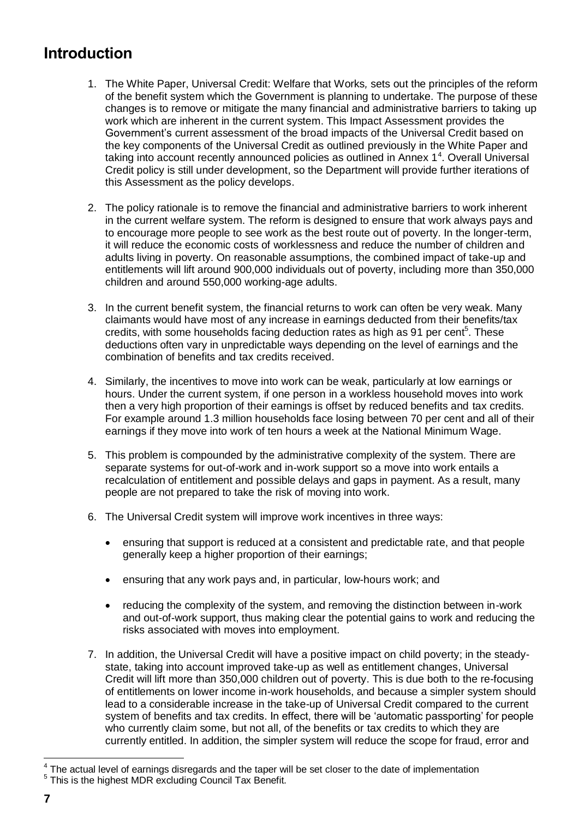# **Introduction**

- 1. The White Paper, Universal Credit: Welfare that Works*,* sets out the principles of the reform of the benefit system which the Government is planning to undertake. The purpose of these changes is to remove or mitigate the many financial and administrative barriers to taking up work which are inherent in the current system. This Impact Assessment provides the Government's current assessment of the broad impacts of the Universal Credit based on the key components of the Universal Credit as outlined previously in the White Paper and taking into account recently announced policies as outlined in Annex 1<sup>4</sup>. Overall Universal Credit policy is still under development, so the Department will provide further iterations of this Assessment as the policy develops.
- 2. The policy rationale is to remove the financial and administrative barriers to work inherent in the current welfare system. The reform is designed to ensure that work always pays and to encourage more people to see work as the best route out of poverty. In the longer-term, it will reduce the economic costs of worklessness and reduce the number of children and adults living in poverty. On reasonable assumptions, the combined impact of take-up and entitlements will lift around 900,000 individuals out of poverty, including more than 350,000 children and around 550,000 working-age adults.
- 3. In the current benefit system, the financial returns to work can often be very weak. Many claimants would have most of any increase in earnings deducted from their benefits/tax credits, with some households facing deduction rates as high as 91 per cent<sup>5</sup>. These deductions often vary in unpredictable ways depending on the level of earnings and the combination of benefits and tax credits received.
- 4. Similarly, the incentives to move into work can be weak, particularly at low earnings or hours. Under the current system, if one person in a workless household moves into work then a very high proportion of their earnings is offset by reduced benefits and tax credits. For example around 1.3 million households face losing between 70 per cent and all of their earnings if they move into work of ten hours a week at the National Minimum Wage.
- 5. This problem is compounded by the administrative complexity of the system. There are separate systems for out-of-work and in-work support so a move into work entails a recalculation of entitlement and possible delays and gaps in payment. As a result, many people are not prepared to take the risk of moving into work.
- 6. The Universal Credit system will improve work incentives in three ways:
	- ensuring that support is reduced at a consistent and predictable rate, and that people generally keep a higher proportion of their earnings;
	- ensuring that any work pays and, in particular, low-hours work; and
	- reducing the complexity of the system, and removing the distinction between in-work and out-of-work support, thus making clear the potential gains to work and reducing the risks associated with moves into employment.
- 7. In addition, the Universal Credit will have a positive impact on child poverty; in the steadystate, taking into account improved take-up as well as entitlement changes, Universal Credit will lift more than 350,000 children out of poverty. This is due both to the re-focusing of entitlements on lower income in-work households, and because a simpler system should lead to a considerable increase in the take-up of Universal Credit compared to the current system of benefits and tax credits. In effect, there will be 'automatic passporting' for people who currently claim some, but not all, of the benefits or tax credits to which they are currently entitled. In addition, the simpler system will reduce the scope for fraud, error and

 4 The actual level of earnings disregards and the taper will be set closer to the date of implementation <sup>5</sup> This is the highest MDR excluding Council Tax Benefit.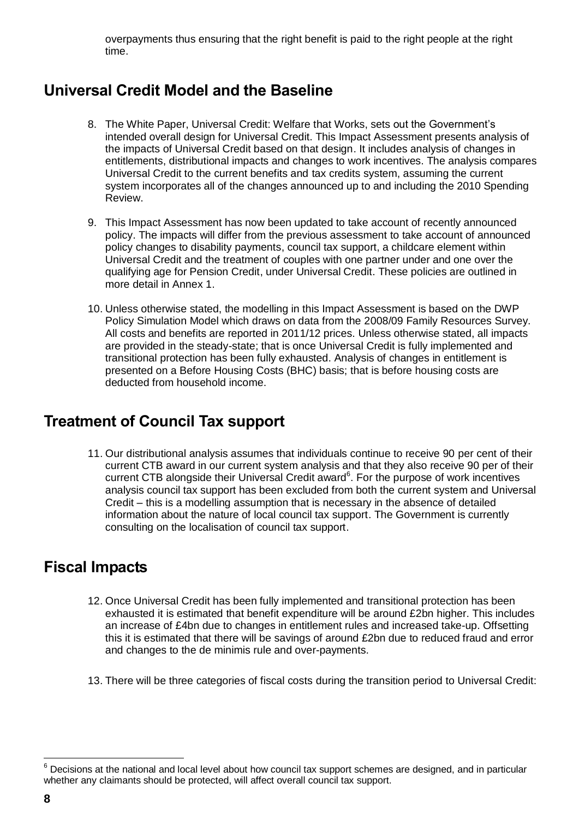overpayments thus ensuring that the right benefit is paid to the right people at the right time.

# **Universal Credit Model and the Baseline**

- 8. The White Paper, Universal Credit: Welfare that Works, sets out the Government's intended overall design for Universal Credit. This Impact Assessment presents analysis of the impacts of Universal Credit based on that design. It includes analysis of changes in entitlements, distributional impacts and changes to work incentives. The analysis compares Universal Credit to the current benefits and tax credits system, assuming the current system incorporates all of the changes announced up to and including the 2010 Spending Review.
- 9. This Impact Assessment has now been updated to take account of recently announced policy. The impacts will differ from the previous assessment to take account of announced policy changes to disability payments, council tax support, a childcare element within Universal Credit and the treatment of couples with one partner under and one over the qualifying age for Pension Credit, under Universal Credit. These policies are outlined in more detail in Annex 1.
- 10. Unless otherwise stated, the modelling in this Impact Assessment is based on the DWP Policy Simulation Model which draws on data from the 2008/09 Family Resources Survey. All costs and benefits are reported in 2011/12 prices. Unless otherwise stated, all impacts are provided in the steady-state; that is once Universal Credit is fully implemented and transitional protection has been fully exhausted. Analysis of changes in entitlement is presented on a Before Housing Costs (BHC) basis; that is before housing costs are deducted from household income.

# **Treatment of Council Tax support**

11. Our distributional analysis assumes that individuals continue to receive 90 per cent of their current CTB award in our current system analysis and that they also receive 90 per of their current CTB alongside their Universal Credit award $<sup>6</sup>$ . For the purpose of work incentives</sup> analysis council tax support has been excluded from both the current system and Universal Credit – this is a modelling assumption that is necessary in the absence of detailed information about the nature of local council tax support. The Government is currently consulting on the localisation of council tax support.

# **Fiscal Impacts**

- 12. Once Universal Credit has been fully implemented and transitional protection has been exhausted it is estimated that benefit expenditure will be around £2bn higher. This includes an increase of £4bn due to changes in entitlement rules and increased take-up. Offsetting this it is estimated that there will be savings of around £2bn due to reduced fraud and error and changes to the de minimis rule and over-payments.
- 13. There will be three categories of fiscal costs during the transition period to Universal Credit:

 $6$  Decisions at the national and local level about how council tax support schemes are designed, and in particular whether any claimants should be protected, will affect overall council tax support.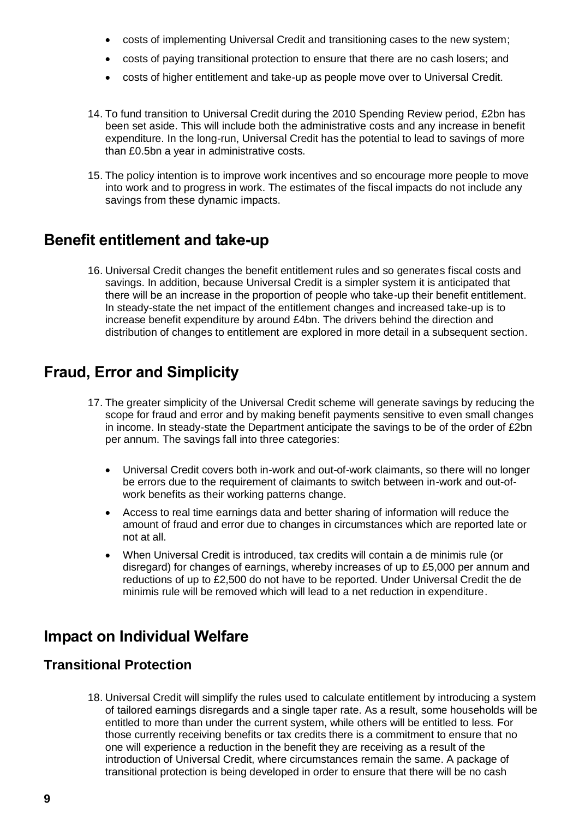- costs of implementing Universal Credit and transitioning cases to the new system;
- costs of paying transitional protection to ensure that there are no cash losers; and
- costs of higher entitlement and take-up as people move over to Universal Credit.
- 14. To fund transition to Universal Credit during the 2010 Spending Review period, £2bn has been set aside. This will include both the administrative costs and any increase in benefit expenditure. In the long-run, Universal Credit has the potential to lead to savings of more than £0.5bn a year in administrative costs.
- 15. The policy intention is to improve work incentives and so encourage more people to move into work and to progress in work. The estimates of the fiscal impacts do not include any savings from these dynamic impacts.

### **Benefit entitlement and take-up**

16. Universal Credit changes the benefit entitlement rules and so generates fiscal costs and savings. In addition, because Universal Credit is a simpler system it is anticipated that there will be an increase in the proportion of people who take-up their benefit entitlement. In steady-state the net impact of the entitlement changes and increased take-up is to increase benefit expenditure by around £4bn. The drivers behind the direction and distribution of changes to entitlement are explored in more detail in a subsequent section.

# **Fraud, Error and Simplicity**

- 17. The greater simplicity of the Universal Credit scheme will generate savings by reducing the scope for fraud and error and by making benefit payments sensitive to even small changes in income. In steady-state the Department anticipate the savings to be of the order of £2bn per annum. The savings fall into three categories:
	- Universal Credit covers both in-work and out-of-work claimants, so there will no longer be errors due to the requirement of claimants to switch between in-work and out-ofwork benefits as their working patterns change.
	- Access to real time earnings data and better sharing of information will reduce the amount of fraud and error due to changes in circumstances which are reported late or not at all.
	- When Universal Credit is introduced, tax credits will contain a de minimis rule (or disregard) for changes of earnings, whereby increases of up to £5,000 per annum and reductions of up to £2,500 do not have to be reported. Under Universal Credit the de minimis rule will be removed which will lead to a net reduction in expenditure.

### **Impact on Individual Welfare**

### **Transitional Protection**

18. Universal Credit will simplify the rules used to calculate entitlement by introducing a system of tailored earnings disregards and a single taper rate. As a result, some households will be entitled to more than under the current system, while others will be entitled to less. For those currently receiving benefits or tax credits there is a commitment to ensure that no one will experience a reduction in the benefit they are receiving as a result of the introduction of Universal Credit, where circumstances remain the same. A package of transitional protection is being developed in order to ensure that there will be no cash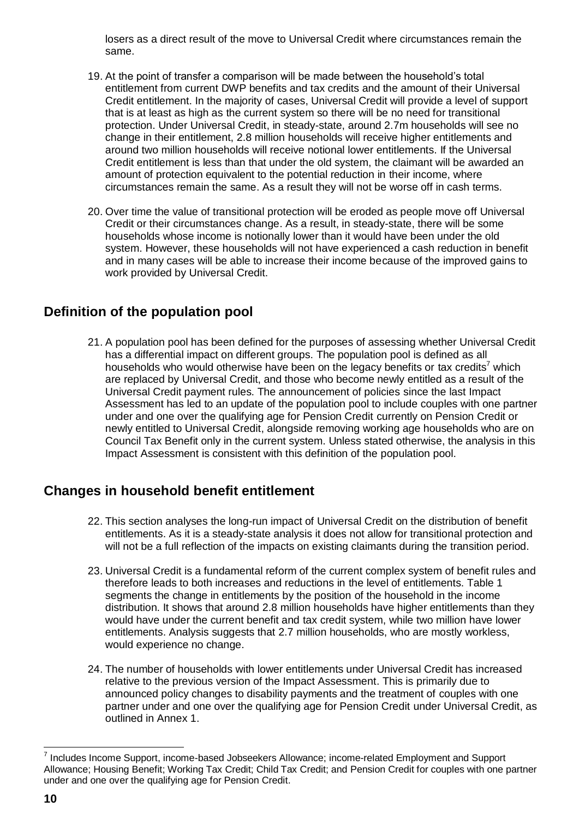losers as a direct result of the move to Universal Credit where circumstances remain the same.

- 19. At the point of transfer a comparison will be made between the household's total entitlement from current DWP benefits and tax credits and the amount of their Universal Credit entitlement. In the majority of cases, Universal Credit will provide a level of support that is at least as high as the current system so there will be no need for transitional protection. Under Universal Credit, in steady-state, around 2.7m households will see no change in their entitlement, 2.8 million households will receive higher entitlements and around two million households will receive notional lower entitlements. If the Universal Credit entitlement is less than that under the old system, the claimant will be awarded an amount of protection equivalent to the potential reduction in their income, where circumstances remain the same. As a result they will not be worse off in cash terms.
- 20. Over time the value of transitional protection will be eroded as people move off Universal Credit or their circumstances change. As a result, in steady-state, there will be some households whose income is notionally lower than it would have been under the old system. However, these households will not have experienced a cash reduction in benefit and in many cases will be able to increase their income because of the improved gains to work provided by Universal Credit.

### **Definition of the population pool**

21. A population pool has been defined for the purposes of assessing whether Universal Credit has a differential impact on different groups. The population pool is defined as all households who would otherwise have been on the legacy benefits or tax credits<sup>7</sup> which are replaced by Universal Credit, and those who become newly entitled as a result of the Universal Credit payment rules. The announcement of policies since the last Impact Assessment has led to an update of the population pool to include couples with one partner under and one over the qualifying age for Pension Credit currently on Pension Credit or newly entitled to Universal Credit, alongside removing working age households who are on Council Tax Benefit only in the current system. Unless stated otherwise, the analysis in this Impact Assessment is consistent with this definition of the population pool.

### **Changes in household benefit entitlement**

- 22. This section analyses the long-run impact of Universal Credit on the distribution of benefit entitlements. As it is a steady-state analysis it does not allow for transitional protection and will not be a full reflection of the impacts on existing claimants during the transition period.
- 23. Universal Credit is a fundamental reform of the current complex system of benefit rules and therefore leads to both increases and reductions in the level of entitlements. Table 1 segments the change in entitlements by the position of the household in the income distribution. It shows that around 2.8 million households have higher entitlements than they would have under the current benefit and tax credit system, while two million have lower entitlements. Analysis suggests that 2.7 million households, who are mostly workless, would experience no change.
- 24. The number of households with lower entitlements under Universal Credit has increased relative to the previous version of the Impact Assessment. This is primarily due to announced policy changes to disability payments and the treatment of couples with one partner under and one over the qualifying age for Pension Credit under Universal Credit, as outlined in Annex 1.

<sup>&</sup>lt;sup>7</sup> Includes Income Support, income-based Jobseekers Allowance; income-related Employment and Support Allowance; Housing Benefit; Working Tax Credit; Child Tax Credit; and Pension Credit for couples with one partner under and one over the qualifying age for Pension Credit.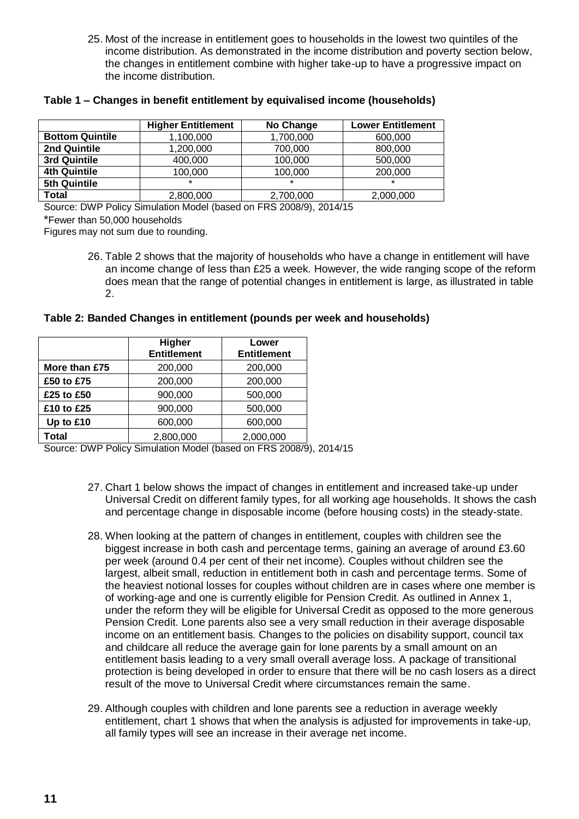25. Most of the increase in entitlement goes to households in the lowest two quintiles of the income distribution. As demonstrated in the income distribution and poverty section below, the changes in entitlement combine with higher take-up to have a progressive impact on the income distribution.

|                        | <b>Higher Entitlement</b> | No Change | <b>Lower Entitlement</b> |
|------------------------|---------------------------|-----------|--------------------------|
| <b>Bottom Quintile</b> | 1,100,000                 | 1,700,000 | 600,000                  |
| 2nd Quintile           | 1,200,000                 | 700,000   | 800,000                  |
| 3rd Quintile           | 400,000                   | 100,000   | 500,000                  |
| <b>4th Quintile</b>    | 100,000                   | 100,000   | 200,000                  |
| 5th Quintile           | $\star$                   | $\star$   | ÷                        |
| Total                  | 2,800,000                 | 2,700,000 | 2,000,000                |

#### **Table 1 – Changes in benefit entitlement by equivalised income (households)**

Source: DWP Policy Simulation Model (based on FRS 2008/9), 2014/15

\*Fewer than 50,000 households

Figures may not sum due to rounding.

26. Table 2 shows that the majority of households who have a change in entitlement will have an income change of less than £25 a week. However, the wide ranging scope of the reform does mean that the range of potential changes in entitlement is large, as illustrated in table 2.

#### **Table 2: Banded Changes in entitlement (pounds per week and households)**

|               | Higher<br><b>Entitlement</b> | Lower<br><b>Entitlement</b> |
|---------------|------------------------------|-----------------------------|
| More than £75 | 200,000                      | 200,000                     |
| £50 to £75    | 200,000                      | 200,000                     |
| £25 to £50    | 900,000                      | 500,000                     |
| £10 to £25    | 900,000                      | 500,000                     |
| Up to £10     | 600,000                      | 600,000                     |
| Total         | 2,800,000                    | 2,000,000                   |

Source: DWP Policy Simulation Model (based on FRS 2008/9), 2014/15

- 27. Chart 1 below shows the impact of changes in entitlement and increased take-up under Universal Credit on different family types, for all working age households. It shows the cash and percentage change in disposable income (before housing costs) in the steady-state.
- 28. When looking at the pattern of changes in entitlement, couples with children see the biggest increase in both cash and percentage terms, gaining an average of around £3.60 per week (around 0.4 per cent of their net income). Couples without children see the largest, albeit small, reduction in entitlement both in cash and percentage terms. Some of the heaviest notional losses for couples without children are in cases where one member is of working-age and one is currently eligible for Pension Credit. As outlined in Annex 1, under the reform they will be eligible for Universal Credit as opposed to the more generous Pension Credit. Lone parents also see a very small reduction in their average disposable income on an entitlement basis. Changes to the policies on disability support, council tax and childcare all reduce the average gain for lone parents by a small amount on an entitlement basis leading to a very small overall average loss. A package of transitional protection is being developed in order to ensure that there will be no cash losers as a direct result of the move to Universal Credit where circumstances remain the same.
- 29. Although couples with children and lone parents see a reduction in average weekly entitlement, chart 1 shows that when the analysis is adjusted for improvements in take-up, all family types will see an increase in their average net income.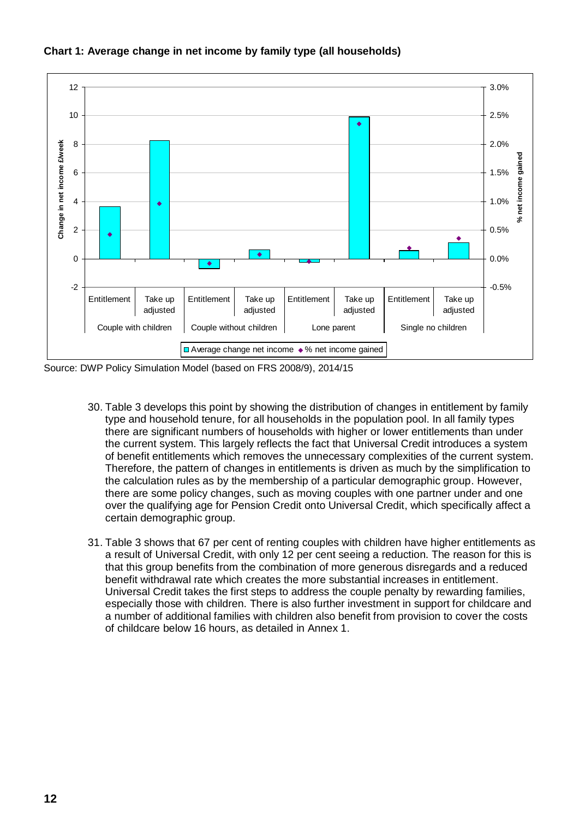

**Chart 1: Average change in net income by family type (all households)**

Source: DWP Policy Simulation Model (based on FRS 2008/9), 2014/15

- 30. Table 3 develops this point by showing the distribution of changes in entitlement by family type and household tenure, for all households in the population pool. In all family types there are significant numbers of households with higher or lower entitlements than under the current system. This largely reflects the fact that Universal Credit introduces a system of benefit entitlements which removes the unnecessary complexities of the current system. Therefore, the pattern of changes in entitlements is driven as much by the simplification to the calculation rules as by the membership of a particular demographic group. However, there are some policy changes, such as moving couples with one partner under and one over the qualifying age for Pension Credit onto Universal Credit, which specifically affect a certain demographic group.
- 31. Table 3 shows that 67 per cent of renting couples with children have higher entitlements as a result of Universal Credit, with only 12 per cent seeing a reduction. The reason for this is that this group benefits from the combination of more generous disregards and a reduced benefit withdrawal rate which creates the more substantial increases in entitlement. Universal Credit takes the first steps to address the couple penalty by rewarding families, especially those with children. There is also further investment in support for childcare and a number of additional families with children also benefit from provision to cover the costs of childcare below 16 hours, as detailed in Annex 1.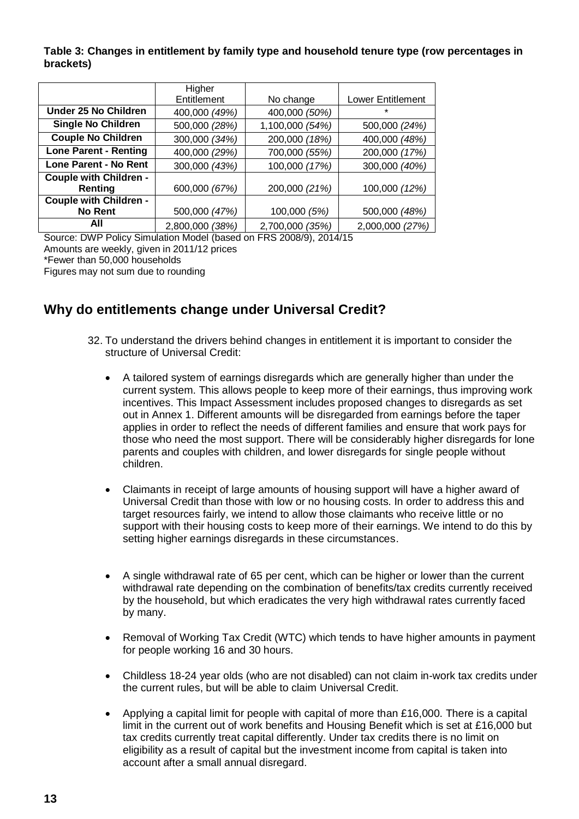**Table 3: Changes in entitlement by family type and household tenure type (row percentages in brackets)**

|                               | Higher          |                 |                          |  |
|-------------------------------|-----------------|-----------------|--------------------------|--|
|                               | Entitlement     | No change       | <b>Lower Entitlement</b> |  |
| Under 25 No Children          | 400,000 (49%)   | 400,000 (50%)   | $\star$                  |  |
| <b>Single No Children</b>     | 500,000 (28%)   | 1,100,000 (54%) | 500,000 (24%)            |  |
| <b>Couple No Children</b>     | 300,000 (34%)   | 200,000 (18%)   | 400,000 (48%)            |  |
| <b>Lone Parent - Renting</b>  | 400,000 (29%)   | 700,000 (55%)   | 200,000 (17%)            |  |
| Lone Parent - No Rent         | 300,000 (43%)   | 100,000 (17%)   | 300,000 (40%)            |  |
| <b>Couple with Children -</b> |                 |                 |                          |  |
| <b>Renting</b>                | 600,000 (67%)   | 200,000 (21%)   | 100,000 (12%)            |  |
| Couple with Children -        |                 |                 |                          |  |
| No Rent                       | 500,000 (47%)   | 100,000 (5%)    | 500,000 (48%)            |  |
| All                           | 2,800,000 (38%) | 2,700,000 (35%) | 2,000,000 (27%)          |  |

Source: DWP Policy Simulation Model (based on FRS 2008/9), 2014/15

Amounts are weekly, given in 2011/12 prices

\*Fewer than 50,000 households

Figures may not sum due to rounding

### **Why do entitlements change under Universal Credit?**

- 32. To understand the drivers behind changes in entitlement it is important to consider the structure of Universal Credit:
	- A tailored system of earnings disregards which are generally higher than under the current system. This allows people to keep more of their earnings, thus improving work incentives. This Impact Assessment includes proposed changes to disregards as set out in Annex 1. Different amounts will be disregarded from earnings before the taper applies in order to reflect the needs of different families and ensure that work pays for those who need the most support. There will be considerably higher disregards for lone parents and couples with children, and lower disregards for single people without children.
	- Claimants in receipt of large amounts of housing support will have a higher award of Universal Credit than those with low or no housing costs. In order to address this and target resources fairly, we intend to allow those claimants who receive little or no support with their housing costs to keep more of their earnings. We intend to do this by setting higher earnings disregards in these circumstances.
	- A single withdrawal rate of 65 per cent, which can be higher or lower than the current withdrawal rate depending on the combination of benefits/tax credits currently received by the household, but which eradicates the very high withdrawal rates currently faced by many.
	- Removal of Working Tax Credit (WTC) which tends to have higher amounts in payment for people working 16 and 30 hours.
	- Childless 18-24 year olds (who are not disabled) can not claim in-work tax credits under the current rules, but will be able to claim Universal Credit.
	- Applying a capital limit for people with capital of more than £16,000. There is a capital limit in the current out of work benefits and Housing Benefit which is set at £16,000 but tax credits currently treat capital differently. Under tax credits there is no limit on eligibility as a result of capital but the investment income from capital is taken into account after a small annual disregard.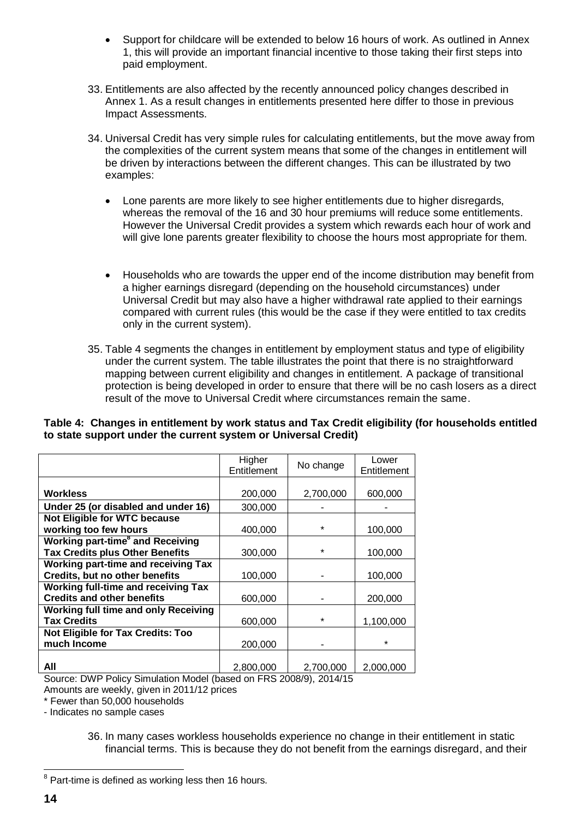- Support for childcare will be extended to below 16 hours of work. As outlined in Annex 1, this will provide an important financial incentive to those taking their first steps into paid employment.
- 33. Entitlements are also affected by the recently announced policy changes described in Annex 1. As a result changes in entitlements presented here differ to those in previous Impact Assessments.
- 34. Universal Credit has very simple rules for calculating entitlements, but the move away from the complexities of the current system means that some of the changes in entitlement will be driven by interactions between the different changes. This can be illustrated by two examples:
	- Lone parents are more likely to see higher entitlements due to higher disregards, whereas the removal of the 16 and 30 hour premiums will reduce some entitlements. However the Universal Credit provides a system which rewards each hour of work and will give lone parents greater flexibility to choose the hours most appropriate for them.
	- Households who are towards the upper end of the income distribution may benefit from a higher earnings disregard (depending on the household circumstances) under Universal Credit but may also have a higher withdrawal rate applied to their earnings compared with current rules (this would be the case if they were entitled to tax credits only in the current system).
- 35. Table 4 segments the changes in entitlement by employment status and type of eligibility under the current system. The table illustrates the point that there is no straightforward mapping between current eligibility and changes in entitlement. A package of transitional protection is being developed in order to ensure that there will be no cash losers as a direct result of the move to Universal Credit where circumstances remain the same.

**Table 4: Changes in entitlement by work status and Tax Credit eligibility (for households entitled to state support under the current system or Universal Credit)**

|                                                    | Higher<br>Entitlement | No change | Lower<br>Entitlement |
|----------------------------------------------------|-----------------------|-----------|----------------------|
| Workless                                           | 200,000               | 2,700,000 | 600,000              |
| Under 25 (or disabled and under 16)                | 300,000               |           |                      |
| Not Eligible for WTC because                       |                       |           |                      |
| working too few hours                              | 400,000               | $\star$   | 100,000              |
| <b>Working part-time<sup>8</sup> and Receiving</b> |                       |           |                      |
| <b>Tax Credits plus Other Benefits</b>             | 300,000               | *         | 100,000              |
| <b>Working part-time and receiving Tax</b>         |                       |           |                      |
| Credits, but no other benefits                     | 100,000               |           | 100,000              |
| <b>Working full-time and receiving Tax</b>         |                       |           |                      |
| <b>Credits and other benefits</b>                  | 600,000               |           | 200,000              |
| <b>Working full time and only Receiving</b>        |                       |           |                      |
| <b>Tax Credits</b>                                 | 600,000               | $\star$   | 1,100,000            |
| <b>Not Eligible for Tax Credits: Too</b>           |                       |           |                      |
| much Income                                        | 200,000               |           | $\star$              |
| All                                                | 2,800,000             | 2,700,000 | 2,000,000            |

Source: DWP Policy Simulation Model (based on FRS 2008/9), 2014/15 Amounts are weekly, given in 2011/12 prices

\* Fewer than 50,000 households

- Indicates no sample cases

36. In many cases workless households experience no change in their entitlement in static financial terms. This is because they do not benefit from the earnings disregard, and their

 $8$  Part-time is defined as working less then 16 hours.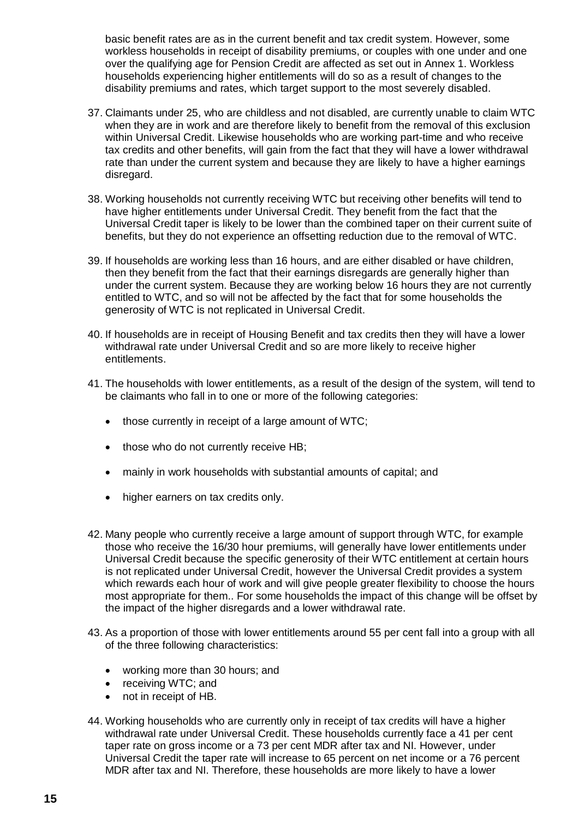basic benefit rates are as in the current benefit and tax credit system. However, some workless households in receipt of disability premiums, or couples with one under and one over the qualifying age for Pension Credit are affected as set out in Annex 1. Workless households experiencing higher entitlements will do so as a result of changes to the disability premiums and rates, which target support to the most severely disabled.

- 37. Claimants under 25, who are childless and not disabled, are currently unable to claim WTC when they are in work and are therefore likely to benefit from the removal of this exclusion within Universal Credit. Likewise households who are working part-time and who receive tax credits and other benefits, will gain from the fact that they will have a lower withdrawal rate than under the current system and because they are likely to have a higher earnings disregard.
- 38. Working households not currently receiving WTC but receiving other benefits will tend to have higher entitlements under Universal Credit. They benefit from the fact that the Universal Credit taper is likely to be lower than the combined taper on their current suite of benefits, but they do not experience an offsetting reduction due to the removal of WTC.
- 39. If households are working less than 16 hours, and are either disabled or have children, then they benefit from the fact that their earnings disregards are generally higher than under the current system. Because they are working below 16 hours they are not currently entitled to WTC, and so will not be affected by the fact that for some households the generosity of WTC is not replicated in Universal Credit.
- 40. If households are in receipt of Housing Benefit and tax credits then they will have a lower withdrawal rate under Universal Credit and so are more likely to receive higher entitlements.
- 41. The households with lower entitlements, as a result of the design of the system, will tend to be claimants who fall in to one or more of the following categories:
	- those currently in receipt of a large amount of WTC;
	- those who do not currently receive HB;
	- mainly in work households with substantial amounts of capital; and
	- higher earners on tax credits only.
- 42. Many people who currently receive a large amount of support through WTC, for example those who receive the 16/30 hour premiums, will generally have lower entitlements under Universal Credit because the specific generosity of their WTC entitlement at certain hours is not replicated under Universal Credit, however the Universal Credit provides a system which rewards each hour of work and will give people greater flexibility to choose the hours most appropriate for them.. For some households the impact of this change will be offset by the impact of the higher disregards and a lower withdrawal rate.
- 43. As a proportion of those with lower entitlements around 55 per cent fall into a group with all of the three following characteristics:
	- working more than 30 hours; and
	- receiving WTC; and
	- not in receipt of HB.
- 44. Working households who are currently only in receipt of tax credits will have a higher withdrawal rate under Universal Credit. These households currently face a 41 per cent taper rate on gross income or a 73 per cent MDR after tax and NI. However, under Universal Credit the taper rate will increase to 65 percent on net income or a 76 percent MDR after tax and NI. Therefore, these households are more likely to have a lower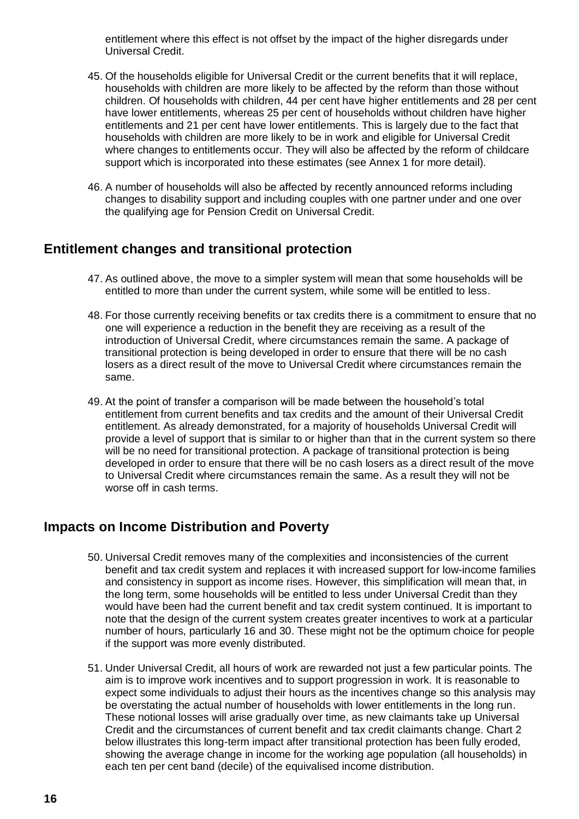entitlement where this effect is not offset by the impact of the higher disregards under Universal Credit.

- 45. Of the households eligible for Universal Credit or the current benefits that it will replace, households with children are more likely to be affected by the reform than those without children. Of households with children, 44 per cent have higher entitlements and 28 per cent have lower entitlements, whereas 25 per cent of households without children have higher entitlements and 21 per cent have lower entitlements. This is largely due to the fact that households with children are more likely to be in work and eligible for Universal Credit where changes to entitlements occur. They will also be affected by the reform of childcare support which is incorporated into these estimates (see Annex 1 for more detail).
- 46. A number of households will also be affected by recently announced reforms including changes to disability support and including couples with one partner under and one over the qualifying age for Pension Credit on Universal Credit.

### **Entitlement changes and transitional protection**

- 47. As outlined above, the move to a simpler system will mean that some households will be entitled to more than under the current system, while some will be entitled to less.
- 48. For those currently receiving benefits or tax credits there is a commitment to ensure that no one will experience a reduction in the benefit they are receiving as a result of the introduction of Universal Credit, where circumstances remain the same. A package of transitional protection is being developed in order to ensure that there will be no cash losers as a direct result of the move to Universal Credit where circumstances remain the same.
- 49. At the point of transfer a comparison will be made between the household's total entitlement from current benefits and tax credits and the amount of their Universal Credit entitlement. As already demonstrated, for a majority of households Universal Credit will provide a level of support that is similar to or higher than that in the current system so there will be no need for transitional protection. A package of transitional protection is being developed in order to ensure that there will be no cash losers as a direct result of the move to Universal Credit where circumstances remain the same. As a result they will not be worse off in cash terms.

### **Impacts on Income Distribution and Poverty**

- 50. Universal Credit removes many of the complexities and inconsistencies of the current benefit and tax credit system and replaces it with increased support for low-income families and consistency in support as income rises. However, this simplification will mean that, in the long term, some households will be entitled to less under Universal Credit than they would have been had the current benefit and tax credit system continued. It is important to note that the design of the current system creates greater incentives to work at a particular number of hours, particularly 16 and 30. These might not be the optimum choice for people if the support was more evenly distributed.
- 51. Under Universal Credit, all hours of work are rewarded not just a few particular points. The aim is to improve work incentives and to support progression in work. It is reasonable to expect some individuals to adjust their hours as the incentives change so this analysis may be overstating the actual number of households with lower entitlements in the long run. These notional losses will arise gradually over time, as new claimants take up Universal Credit and the circumstances of current benefit and tax credit claimants change. Chart 2 below illustrates this long-term impact after transitional protection has been fully eroded, showing the average change in income for the working age population (all households) in each ten per cent band (decile) of the equivalised income distribution.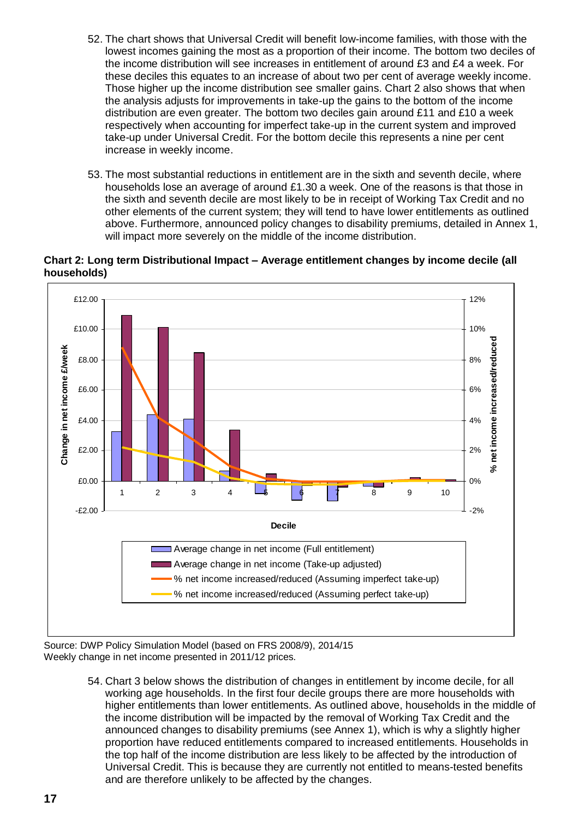- 52. The chart shows that Universal Credit will benefit low-income families, with those with the lowest incomes gaining the most as a proportion of their income. The bottom two deciles of the income distribution will see increases in entitlement of around £3 and £4 a week. For these deciles this equates to an increase of about two per cent of average weekly income. Those higher up the income distribution see smaller gains. Chart 2 also shows that when the analysis adjusts for improvements in take-up the gains to the bottom of the income distribution are even greater. The bottom two deciles gain around £11 and £10 a week respectively when accounting for imperfect take-up in the current system and improved take-up under Universal Credit. For the bottom decile this represents a nine per cent increase in weekly income.
- 53. The most substantial reductions in entitlement are in the sixth and seventh decile, where households lose an average of around £1.30 a week. One of the reasons is that those in the sixth and seventh decile are most likely to be in receipt of Working Tax Credit and no other elements of the current system; they will tend to have lower entitlements as outlined above. Furthermore, announced policy changes to disability premiums, detailed in Annex 1, will impact more severely on the middle of the income distribution.

# **Chart 2: Long term Distributional Impact – Average entitlement changes by income decile (all households)**



Source: DWP Policy Simulation Model (based on FRS 2008/9), 2014/15 Weekly change in net income presented in 2011/12 prices.

> 54. Chart 3 below shows the distribution of changes in entitlement by income decile, for all working age households. In the first four decile groups there are more households with higher entitlements than lower entitlements. As outlined above, households in the middle of the income distribution will be impacted by the removal of Working Tax Credit and the announced changes to disability premiums (see Annex 1), which is why a slightly higher proportion have reduced entitlements compared to increased entitlements. Households in the top half of the income distribution are less likely to be affected by the introduction of Universal Credit. This is because they are currently not entitled to means-tested benefits and are therefore unlikely to be affected by the changes.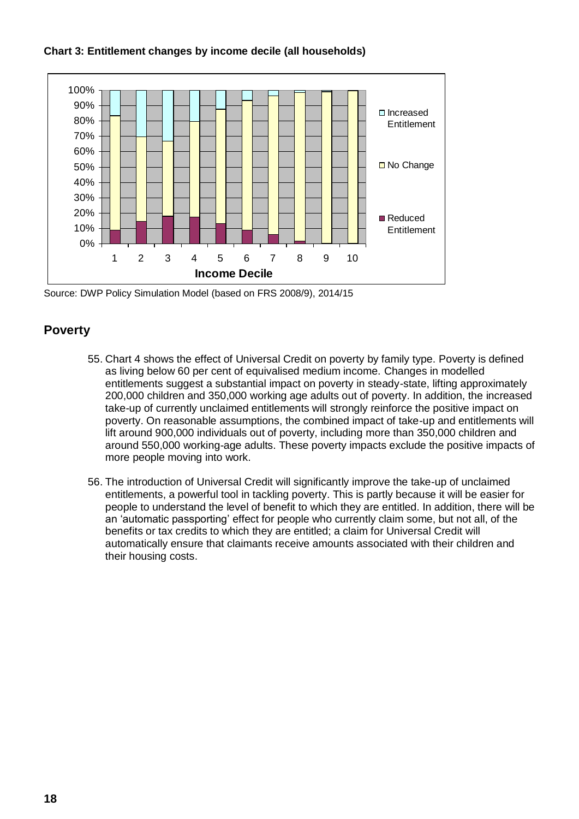

#### **Chart 3: Entitlement changes by income decile (all households)**

Source: DWP Policy Simulation Model (based on FRS 2008/9), 2014/15

#### **Poverty**

- 55. Chart 4 shows the effect of Universal Credit on poverty by family type. Poverty is defined as living below 60 per cent of equivalised medium income. Changes in modelled entitlements suggest a substantial impact on poverty in steady-state, lifting approximately 200,000 children and 350,000 working age adults out of poverty. In addition, the increased take-up of currently unclaimed entitlements will strongly reinforce the positive impact on poverty. On reasonable assumptions, the combined impact of take-up and entitlements will lift around 900,000 individuals out of poverty, including more than 350,000 children and around 550,000 working-age adults. These poverty impacts exclude the positive impacts of more people moving into work.
- 56. The introduction of Universal Credit will significantly improve the take-up of unclaimed entitlements, a powerful tool in tackling poverty. This is partly because it will be easier for people to understand the level of benefit to which they are entitled. In addition, there will be an 'automatic passporting' effect for people who currently claim some, but not all, of the benefits or tax credits to which they are entitled; a claim for Universal Credit will automatically ensure that claimants receive amounts associated with their children and their housing costs.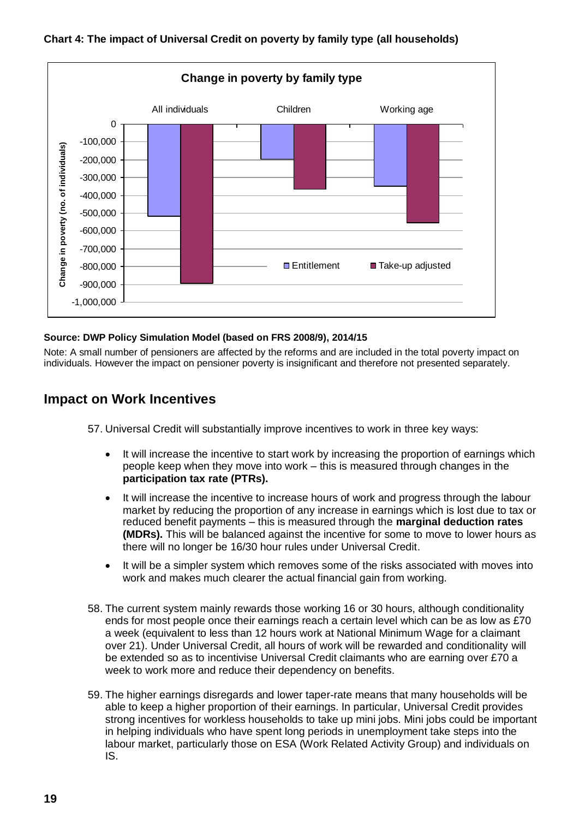

#### **Chart 4: The impact of Universal Credit on poverty by family type (all households)**

#### **Source: DWP Policy Simulation Model (based on FRS 2008/9), 2014/15**

Note: A small number of pensioners are affected by the reforms and are included in the total poverty impact on individuals. However the impact on pensioner poverty is insignificant and therefore not presented separately.

#### **Impact on Work Incentives**

57. Universal Credit will substantially improve incentives to work in three key ways:

- It will increase the incentive to start work by increasing the proportion of earnings which people keep when they move into work – this is measured through changes in the **participation tax rate (PTRs).**
- It will increase the incentive to increase hours of work and progress through the labour market by reducing the proportion of any increase in earnings which is lost due to tax or reduced benefit payments – this is measured through the **marginal deduction rates (MDRs).** This will be balanced against the incentive for some to move to lower hours as there will no longer be 16/30 hour rules under Universal Credit.
- It will be a simpler system which removes some of the risks associated with moves into work and makes much clearer the actual financial gain from working.
- 58. The current system mainly rewards those working 16 or 30 hours, although conditionality ends for most people once their earnings reach a certain level which can be as low as £70 a week (equivalent to less than 12 hours work at National Minimum Wage for a claimant over 21). Under Universal Credit, all hours of work will be rewarded and conditionality will be extended so as to incentivise Universal Credit claimants who are earning over £70 a week to work more and reduce their dependency on benefits.
- 59. The higher earnings disregards and lower taper-rate means that many households will be able to keep a higher proportion of their earnings. In particular, Universal Credit provides strong incentives for workless households to take up mini jobs. Mini jobs could be important in helping individuals who have spent long periods in unemployment take steps into the labour market, particularly those on ESA (Work Related Activity Group) and individuals on IS.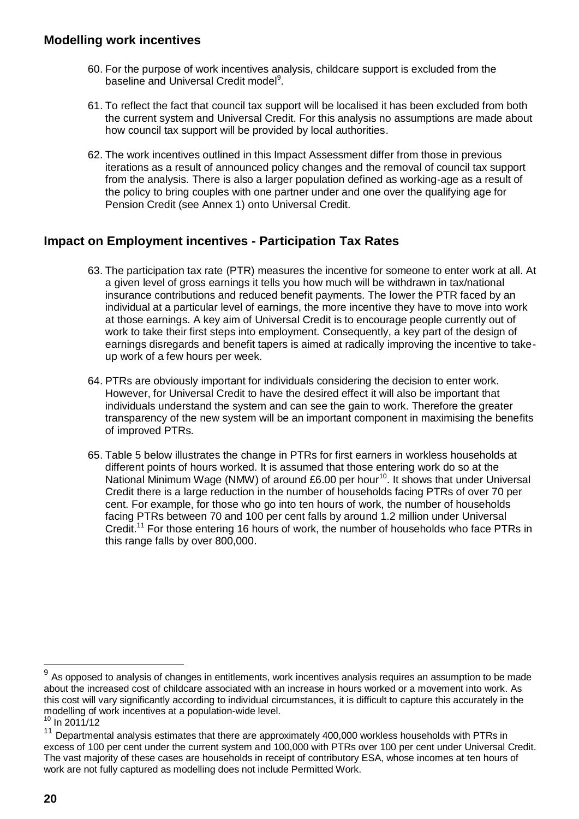#### **Modelling work incentives**

- 60. For the purpose of work incentives analysis, childcare support is excluded from the baseline and Universal Credit model<sup>9</sup>.
- 61. To reflect the fact that council tax support will be localised it has been excluded from both the current system and Universal Credit. For this analysis no assumptions are made about how council tax support will be provided by local authorities.
- 62. The work incentives outlined in this Impact Assessment differ from those in previous iterations as a result of announced policy changes and the removal of council tax support from the analysis. There is also a larger population defined as working-age as a result of the policy to bring couples with one partner under and one over the qualifying age for Pension Credit (see Annex 1) onto Universal Credit.

### **Impact on Employment incentives - Participation Tax Rates**

- 63. The participation tax rate (PTR) measures the incentive for someone to enter work at all. At a given level of gross earnings it tells you how much will be withdrawn in tax/national insurance contributions and reduced benefit payments. The lower the PTR faced by an individual at a particular level of earnings, the more incentive they have to move into work at those earnings. A key aim of Universal Credit is to encourage people currently out of work to take their first steps into employment. Consequently, a key part of the design of earnings disregards and benefit tapers is aimed at radically improving the incentive to takeup work of a few hours per week.
- 64. PTRs are obviously important for individuals considering the decision to enter work. However, for Universal Credit to have the desired effect it will also be important that individuals understand the system and can see the gain to work. Therefore the greater transparency of the new system will be an important component in maximising the benefits of improved PTRs.
- 65. Table 5 below illustrates the change in PTRs for first earners in workless households at different points of hours worked. It is assumed that those entering work do so at the National Minimum Wage (NMW) of around £6.00 per hour<sup>10</sup>. It shows that under Universal Credit there is a large reduction in the number of households facing PTRs of over 70 per cent. For example, for those who go into ten hours of work, the number of households facing PTRs between 70 and 100 per cent falls by around 1.2 million under Universal Credit.<sup>11</sup> For those entering 16 hours of work, the number of households who face PTRs in this range falls by over 800,000.

<sup>9</sup> As opposed to analysis of changes in entitlements, work incentives analysis requires an assumption to be made about the increased cost of childcare associated with an increase in hours worked or a movement into work. As this cost will vary significantly according to individual circumstances, it is difficult to capture this accurately in the modelling of work incentives at a population-wide level.

 $10 \ln 2011/12$ 

 $11$  Departmental analysis estimates that there are approximately 400,000 workless households with PTRs in excess of 100 per cent under the current system and 100,000 with PTRs over 100 per cent under Universal Credit. The vast majority of these cases are households in receipt of contributory ESA, whose incomes at ten hours of work are not fully captured as modelling does not include Permitted Work.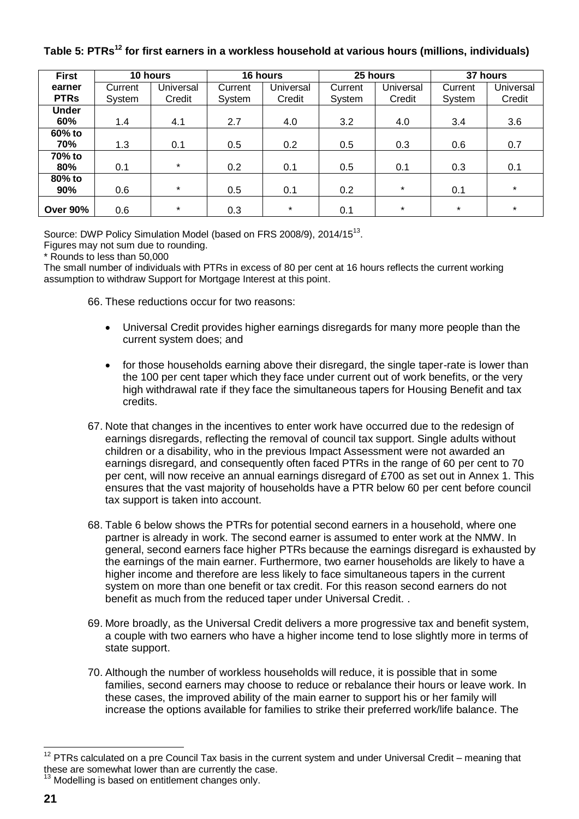#### **First earner PTRs 10 hours 16 hours 25 hours 37 hours Current** System **Universal Credit Current** System **Universal** Credit **Current** System **Universal Credit Current** System **Universal Credit Under 60%** | 1.4 | 4.1 | 2.7 | 4.0 | 3.2 | 4.0 | 3.4 | 3.6 **60% to 70%** | 1.3 | 0.1 | 0.5 | 0.2 | 0.5 | 0.3 | 0.6 | 0.7 **70% to 80%** | 0.1 | \* | 0.2 | 0.1 | 0.5 | 0.1 | 0.3 | 0.1 **80% to 90%** | 0.6 | \* | 0.5 | 0.1 | 0.2 | \* | 0.1 | \* **Over 90%** | 0.6 | \* | 0.3 | \* | 0.1 | \* | \* | \*

**Table 5: PTRs<sup>12</sup> for first earners in a workless household at various hours (millions, individuals)**

Source: DWP Policy Simulation Model (based on FRS 2008/9), 2014/15<sup>13</sup>.

Figures may not sum due to rounding.

\* Rounds to less than 50,000

The small number of individuals with PTRs in excess of 80 per cent at 16 hours reflects the current working assumption to withdraw Support for Mortgage Interest at this point.

66. These reductions occur for two reasons:

- Universal Credit provides higher earnings disregards for many more people than the current system does; and
- for those households earning above their disregard, the single taper-rate is lower than the 100 per cent taper which they face under current out of work benefits, or the very high withdrawal rate if they face the simultaneous tapers for Housing Benefit and tax credits.
- 67. Note that changes in the incentives to enter work have occurred due to the redesign of earnings disregards, reflecting the removal of council tax support. Single adults without children or a disability, who in the previous Impact Assessment were not awarded an earnings disregard, and consequently often faced PTRs in the range of 60 per cent to 70 per cent, will now receive an annual earnings disregard of £700 as set out in Annex 1. This ensures that the vast majority of households have a PTR below 60 per cent before council tax support is taken into account.
- 68. Table 6 below shows the PTRs for potential second earners in a household, where one partner is already in work. The second earner is assumed to enter work at the NMW. In general, second earners face higher PTRs because the earnings disregard is exhausted by the earnings of the main earner. Furthermore, two earner households are likely to have a higher income and therefore are less likely to face simultaneous tapers in the current system on more than one benefit or tax credit. For this reason second earners do not benefit as much from the reduced taper under Universal Credit. .
- 69. More broadly, as the Universal Credit delivers a more progressive tax and benefit system, a couple with two earners who have a higher income tend to lose slightly more in terms of state support.
- 70. Although the number of workless households will reduce, it is possible that in some families, second earners may choose to reduce or rebalance their hours or leave work. In these cases, the improved ability of the main earner to support his or her family will increase the options available for families to strike their preferred work/life balance. The

 $12$  PTRs calculated on a pre Council Tax basis in the current system and under Universal Credit – meaning that these are somewhat lower than are currently the case.

 $13$  Modelling is based on entitlement changes only.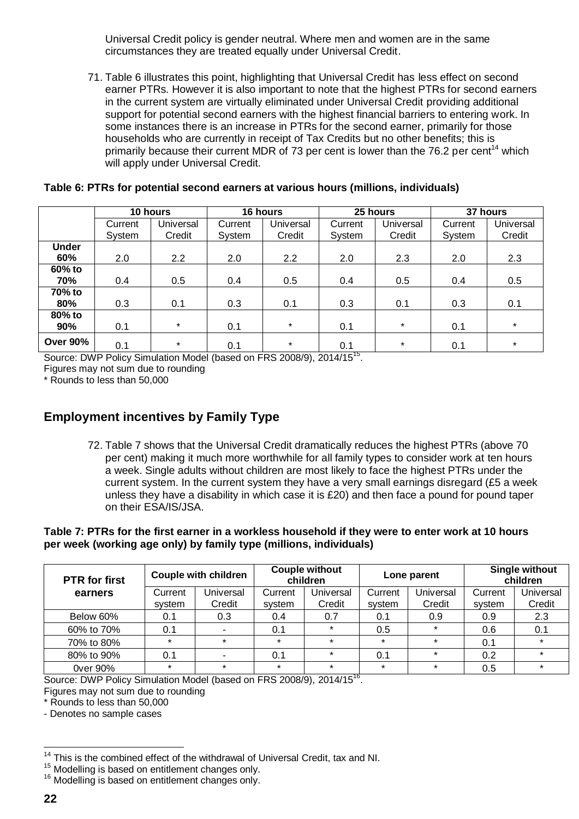Universal Credit policy is gender neutral. Where men and women are in the same circumstances they are treated equally under Universal Credit.

71. Table 6 illustrates this point, highlighting that Universal Credit has less effect on second earner PTRs. However it is also important to note that the highest PTRs for second earners in the current system are virtually eliminated under Universal Credit providing additional support for potential second earners with the highest financial barriers to entering work. In some instances there is an increase in PTRs for the second earner, primarily for those households who are currently in receipt of Tax Credits but no other benefits; this is primarily because their current MDR of 73 per cent is lower than the 76.2 per cent<sup>14</sup> which will apply under Universal Credit.

|                     | 10 hours          |                     | 16 hours          |                     | 25 hours          |                            | 37 hours          |                     |
|---------------------|-------------------|---------------------|-------------------|---------------------|-------------------|----------------------------|-------------------|---------------------|
|                     | Current<br>System | Universal<br>Credit | Current<br>System | Universal<br>Credit | Current<br>System | <b>Universal</b><br>Credit | Current<br>System | Universal<br>Credit |
| <b>Under</b><br>60% | 2.0               | 2.2                 | 2.0               | $2.2^{\circ}$       | 2.0               | 2.3                        | 2.0               | 2.3                 |
| 60% to<br>70%       | 0.4               | 0.5                 | 0.4               | 0.5                 | 0.4               | 0.5                        | 0.4               | 0.5                 |
| 70% to<br>80%       | 0.3               | 0.1                 | 0.3               | 0.1                 | 0.3               | 0.1                        | 0.3               | 0.1                 |
| 80% to<br>90%       | 0.1               | $\star$             | 0.1               | $\star$             | 0.1               | $\star$                    | 0.1               | $\star$             |
| <b>Over 90%</b>     | 0.1               | $\star$             | 0.1               | $\star$             | 0.1               | $\star$                    | 0.1               | $\star$             |

#### **Table 6: PTRs for potential second earners at various hours (millions, individuals)**

Source: DWP Policy Simulation Model (based on FRS 2008/9), 2014/15<sup>15</sup>.

Figures may not sum due to rounding

\* Rounds to less than 50,000

### **Employment incentives by Family Type**

72. Table 7 shows that the Universal Credit dramatically reduces the highest PTRs (above 70 per cent) making it much more worthwhile for all family types to consider work at ten hours a week. Single adults without children are most likely to face the highest PTRs under the current system. In the current system they have a very small earnings disregard (£5 a week unless they have a disability in which case it is £20) and then face a pound for pound taper on their ESA/IS/JSA.

#### **Table 7: PTRs for the first earner in a workless household if they were to enter work at 10 hours per week (working age only) by family type (millions, individuals)**

| <b>PTR</b> for first | <b>Couple with children</b> |           | <b>Couple without</b><br>children |           | Lone parent |           | <b>Single without</b><br>children |           |
|----------------------|-----------------------------|-----------|-----------------------------------|-----------|-------------|-----------|-----------------------------------|-----------|
| earners              | Current                     | Universal | Current                           | Universal | Current     | Universal | Current                           | Universal |
|                      | system                      | Credit    | system                            | Credit    | system      | Credit    | system                            | Credit    |
| Below 60%            | 0.1                         | 0.3       | 0.4                               | 0.7       | 0.1         | 0.9       | 0.9                               | 2.3       |
| 60% to 70%           | 0.1                         |           | 0.1                               | $\star$   | 0.5         | $\star$   | 0.6                               | 0.1       |
| 70% to 80%           | $\star$                     | $\star$   | $\star$                           | $\star$   | $\star$     | $\star$   | 0.1                               | $\star$   |
| 80% to 90%           | 0.1                         |           | 0.1                               | $\star$   | 0.1         | $\star$   | 0.2                               | $\star$   |
| 0ver 90%             | $\star$                     | $\star$   | $\star$                           | $\star$   | $\star$     | $\star$   | 0.5                               | $\star$   |

Source: DWP Policy Simulation Model (based on FRS 2008/9), 2014/15<sup>16</sup>.

Figures may not sum due to rounding

\* Rounds to less than 50,000

- Denotes no sample cases

<sup>&</sup>lt;sup>14</sup> This is the combined effect of the withdrawal of Universal Credit, tax and NI.

<sup>&</sup>lt;sup>15</sup> Modelling is based on entitlement changes only.

<sup>&</sup>lt;sup>16</sup> Modelling is based on entitlement changes only.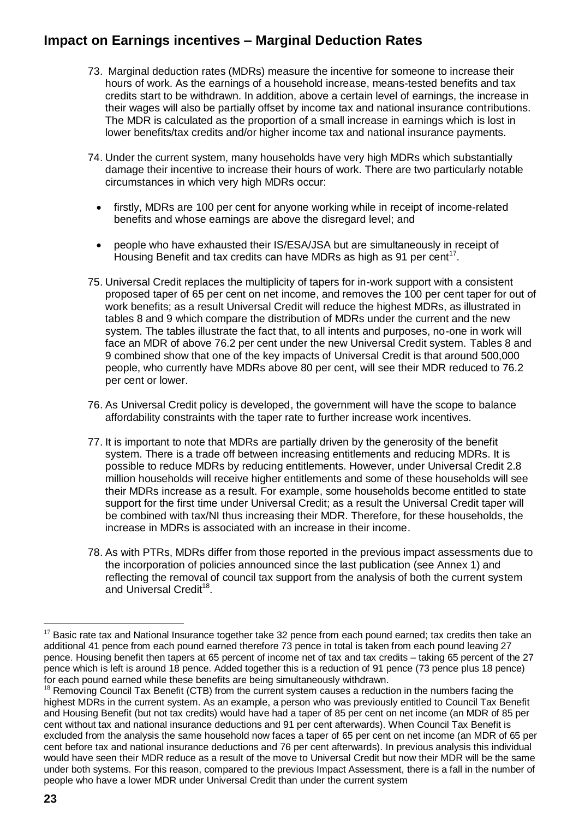### **Impact on Earnings incentives – Marginal Deduction Rates**

- 73. Marginal deduction rates (MDRs) measure the incentive for someone to increase their hours of work. As the earnings of a household increase, means-tested benefits and tax credits start to be withdrawn. In addition, above a certain level of earnings, the increase in their wages will also be partially offset by income tax and national insurance contributions. The MDR is calculated as the proportion of a small increase in earnings which is lost in lower benefits/tax credits and/or higher income tax and national insurance payments.
- 74. Under the current system, many households have very high MDRs which substantially damage their incentive to increase their hours of work. There are two particularly notable circumstances in which very high MDRs occur:
	- firstly, MDRs are 100 per cent for anyone working while in receipt of income-related benefits and whose earnings are above the disregard level; and
	- people who have exhausted their IS/ESA/JSA but are simultaneously in receipt of Housing Benefit and tax credits can have MDRs as high as 91 per cent<sup>17</sup>.
- 75. Universal Credit replaces the multiplicity of tapers for in-work support with a consistent proposed taper of 65 per cent on net income, and removes the 100 per cent taper for out of work benefits; as a result Universal Credit will reduce the highest MDRs, as illustrated in tables 8 and 9 which compare the distribution of MDRs under the current and the new system. The tables illustrate the fact that, to all intents and purposes, no-one in work will face an MDR of above 76.2 per cent under the new Universal Credit system. Tables 8 and 9 combined show that one of the key impacts of Universal Credit is that around 500,000 people, who currently have MDRs above 80 per cent, will see their MDR reduced to 76.2 per cent or lower.
- 76. As Universal Credit policy is developed, the government will have the scope to balance affordability constraints with the taper rate to further increase work incentives.
- 77. It is important to note that MDRs are partially driven by the generosity of the benefit system. There is a trade off between increasing entitlements and reducing MDRs. It is possible to reduce MDRs by reducing entitlements. However, under Universal Credit 2.8 million households will receive higher entitlements and some of these households will see their MDRs increase as a result. For example, some households become entitled to state support for the first time under Universal Credit; as a result the Universal Credit taper will be combined with tax/NI thus increasing their MDR. Therefore, for these households, the increase in MDRs is associated with an increase in their income.
- 78. As with PTRs, MDRs differ from those reported in the previous impact assessments due to the incorporation of policies announced since the last publication (see Annex 1) and reflecting the removal of council tax support from the analysis of both the current system and Universal Credit<sup>18</sup>.

 $\overline{a}$  $17$  Basic rate tax and National Insurance together take 32 pence from each pound earned; tax credits then take an additional 41 pence from each pound earned therefore 73 pence in total is taken from each pound leaving 27 pence. Housing benefit then tapers at 65 percent of income net of tax and tax credits – taking 65 percent of the 27 pence which is left is around 18 pence. Added together this is a reduction of 91 pence (73 pence plus 18 pence) for each pound earned while these benefits are being simultaneously withdrawn.

 $18$  Removing Council Tax Benefit (CTB) from the current system causes a reduction in the numbers facing the highest MDRs in the current system. As an example, a person who was previously entitled to Council Tax Benefit and Housing Benefit (but not tax credits) would have had a taper of 85 per cent on net income (an MDR of 85 per cent without tax and national insurance deductions and 91 per cent afterwards). When Council Tax Benefit is excluded from the analysis the same household now faces a taper of 65 per cent on net income (an MDR of 65 per cent before tax and national insurance deductions and 76 per cent afterwards). In previous analysis this individual would have seen their MDR reduce as a result of the move to Universal Credit but now their MDR will be the same under both systems. For this reason, compared to the previous Impact Assessment, there is a fall in the number of people who have a lower MDR under Universal Credit than under the current system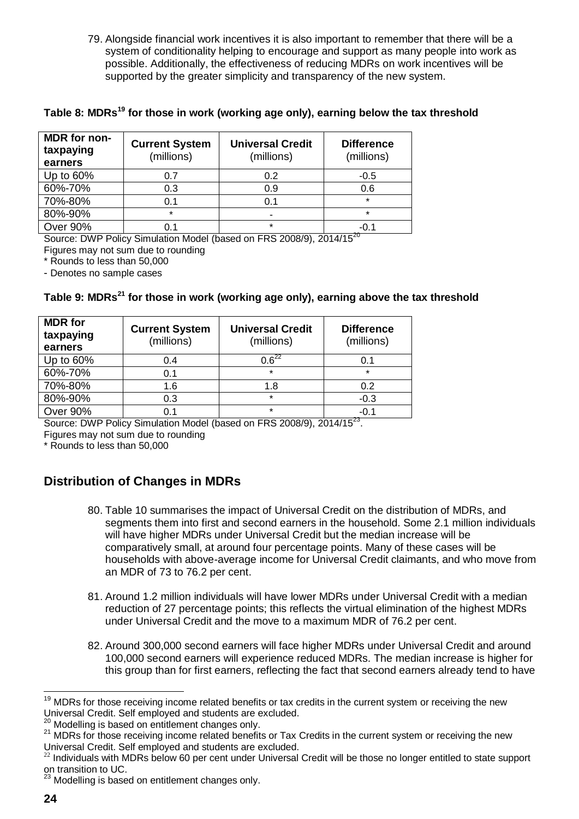79. Alongside financial work incentives it is also important to remember that there will be a system of conditionality helping to encourage and support as many people into work as possible. Additionally, the effectiveness of reducing MDRs on work incentives will be supported by the greater simplicity and transparency of the new system.

**Table 8: MDRs<sup>19</sup> for those in work (working age only), earning below the tax threshold**

| MDR for non-<br>taxpaying<br>earners | <b>Current System</b><br>(millions) | <b>Universal Credit</b><br>(millions) | <b>Difference</b><br>(millions) |
|--------------------------------------|-------------------------------------|---------------------------------------|---------------------------------|
| Up to 60%                            | 0.7                                 | 0.2                                   | $-0.5$                          |
| 60%-70%                              | 0.3                                 | 0.9                                   | 0.6                             |
| 70%-80%                              | 0.1                                 | 0.1                                   | $\star$                         |
| 80%-90%                              | $\star$                             | -                                     | $\star$                         |
| <b>Over 90%</b>                      |                                     | $\star$                               | $-0.1$                          |

Source: DWP Policy Simulation Model (based on FRS 2008/9), 2014/15<sup>20</sup> Figures may not sum due to rounding

\* Rounds to less than 50,000

- Denotes no sample cases

#### **Table 9: MDRs<sup>21</sup> for those in work (working age only), earning above the tax threshold**

| <b>MDR</b> for<br>taxpaying<br>earners | <b>Current System</b><br>(millions) | <b>Universal Credit</b><br>(millions) | <b>Difference</b><br>(millions) |
|----------------------------------------|-------------------------------------|---------------------------------------|---------------------------------|
| Up to 60%                              | 0.4                                 | $0.6^{22}$                            | 0.1                             |
| 60%-70%                                | 0.1                                 | $\star$                               | $\star$                         |
| 70%-80%                                | 1.6                                 | 1.8                                   | 0.2                             |
| 80%-90%                                | 0.3                                 | $\star$                               | $-0.3$                          |
| Over 90%                               | 0.1                                 | $\star$                               | $-0.1$                          |

Source: DWP Policy Simulation Model (based on FRS 2008/9), 2014/15<sup>23</sup>.

Figures may not sum due to rounding

\* Rounds to less than 50,000

### **Distribution of Changes in MDRs**

- 80. Table 10 summarises the impact of Universal Credit on the distribution of MDRs, and segments them into first and second earners in the household. Some 2.1 million individuals will have higher MDRs under Universal Credit but the median increase will be comparatively small, at around four percentage points. Many of these cases will be households with above-average income for Universal Credit claimants, and who move from an MDR of 73 to 76.2 per cent.
- 81. Around 1.2 million individuals will have lower MDRs under Universal Credit with a median reduction of 27 percentage points; this reflects the virtual elimination of the highest MDRs under Universal Credit and the move to a maximum MDR of 76.2 per cent.
- 82. Around 300,000 second earners will face higher MDRs under Universal Credit and around 100,000 second earners will experience reduced MDRs. The median increase is higher for this group than for first earners, reflecting the fact that second earners already tend to have

 $\overline{\phantom{a}}$ <sup>19</sup> MDRs for those receiving income related benefits or tax credits in the current system or receiving the new Universal Credit. Self employed and students are excluded.

Modelling is based on entitlement changes only.

<sup>21</sup> MDRs for those receiving income related benefits or Tax Credits in the current system or receiving the new Universal Credit. Self employed and students are excluded.

<sup>&</sup>lt;sup>22</sup> Individuals with MDRs below 60 per cent under Universal Credit will be those no longer entitled to state support on transition to UC.

 $^{23}$  Modelling is based on entitlement changes only.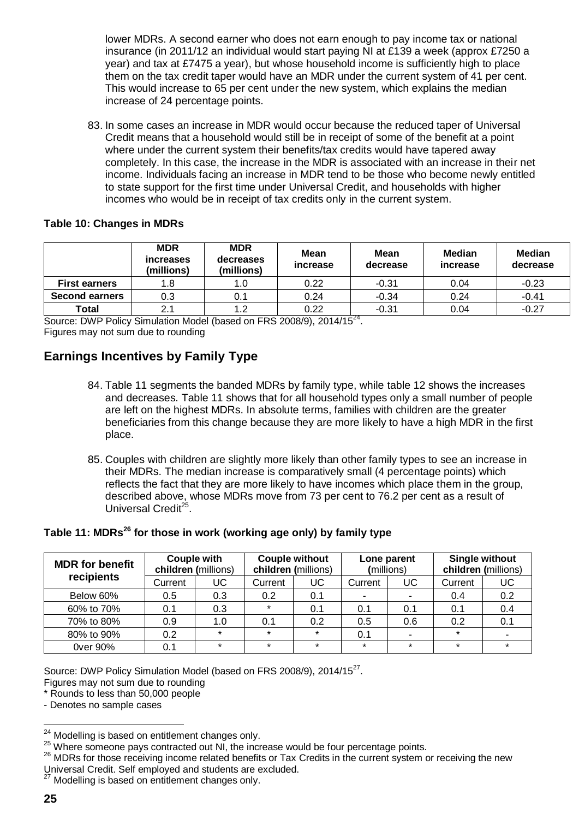lower MDRs. A second earner who does not earn enough to pay income tax or national insurance (in 2011/12 an individual would start paying NI at £139 a week (approx £7250 a year) and tax at £7475 a year), but whose household income is sufficiently high to place them on the tax credit taper would have an MDR under the current system of 41 per cent. This would increase to 65 per cent under the new system, which explains the median increase of 24 percentage points.

83. In some cases an increase in MDR would occur because the reduced taper of Universal Credit means that a household would still be in receipt of some of the benefit at a point where under the current system their benefits/tax credits would have tapered away completely. In this case, the increase in the MDR is associated with an increase in their net income. Individuals facing an increase in MDR tend to be those who become newly entitled to state support for the first time under Universal Credit, and households with higher incomes who would be in receipt of tax credits only in the current system.

#### **Table 10: Changes in MDRs**

|                       | <b>MDR</b><br><i>increases</i><br>(millions) | <b>MDR</b><br>decreases<br>(millions) | <b>Mean</b><br>increase | Mean<br>decrease | Median<br><i>increase</i> | <b>Median</b><br>decrease |
|-----------------------|----------------------------------------------|---------------------------------------|-------------------------|------------------|---------------------------|---------------------------|
| <b>First earners</b>  | 1.8                                          | 1.0                                   | 0.22                    | $-0.31$          | 0.04                      | $-0.23$                   |
| <b>Second earners</b> | 0.3                                          | 0.1                                   | 0.24                    | $-0.34$          | 0.24                      | $-0.41$                   |
| Total                 | 2.1                                          | 1.2                                   | 0.22                    | $-0.31$          | 0.04                      | $-0.27$                   |

Source: DWP Policy Simulation Model (based on FRS 2008/9), 2014/15<sup>24</sup>. Figures may not sum due to rounding

### **Earnings Incentives by Family Type**

- 84. Table 11 segments the banded MDRs by family type, while table 12 shows the increases and decreases. Table 11 shows that for all household types only a small number of people are left on the highest MDRs. In absolute terms, families with children are the greater beneficiaries from this change because they are more likely to have a high MDR in the first place.
- 85. Couples with children are slightly more likely than other family types to see an increase in their MDRs. The median increase is comparatively small (4 percentage points) which reflects the fact that they are more likely to have incomes which place them in the group, described above, whose MDRs move from 73 per cent to 76.2 per cent as a result of Universal Credit<sup>25</sup>.

#### **Table 11: MDRs<sup>26</sup> for those in work (working age only) by family type**

| <b>MDR</b> for benefit<br>recipients | Couple with<br>children (millions) |         | <b>Couple without</b><br>children (millions) |         | Lone parent<br>(millions) |         | <b>Single without</b><br>children (millions) |         |
|--------------------------------------|------------------------------------|---------|----------------------------------------------|---------|---------------------------|---------|----------------------------------------------|---------|
|                                      | Current                            | UC      | Current                                      | UC      | Current                   | UC      | Current                                      | UC      |
| Below 60%                            | 0.5                                | 0.3     | 0.2                                          | 0.1     | -                         |         | 0.4                                          | 0.2     |
| 60% to 70%                           | 0.1                                | 0.3     | $\star$                                      | 0.1     | 0.1                       | 0.1     | 0.1                                          | 0.4     |
| 70% to 80%                           | 0.9                                | 1.0     | 0.1                                          | 0.2     | 0.5                       | 0.6     | 0.2                                          | 0.1     |
| 80% to 90%                           | 0.2                                | ÷       | $\star$                                      | $\star$ | 0.1                       |         | $\star$                                      |         |
| 0ver 90%                             | 0.1                                | $\star$ | $\star$                                      | $\star$ | $\star$                   | $\star$ | $\star$                                      | $\star$ |

Source: DWP Policy Simulation Model (based on FRS 2008/9), 2014/15<sup>27</sup>.

Figures may not sum due to rounding

\* Rounds to less than 50,000 people

- Denotes no sample cases

l  $24$  Modelling is based on entitlement changes only.

 $25$  Where someone pays contracted out NI, the increase would be four percentage points.

<sup>&</sup>lt;sup>26</sup> MDRs for those receiving income related benefits or Tax Credits in the current system or receiving the new Universal Credit. Self employed and students are excluded.

 $27$  Modelling is based on entitlement changes only.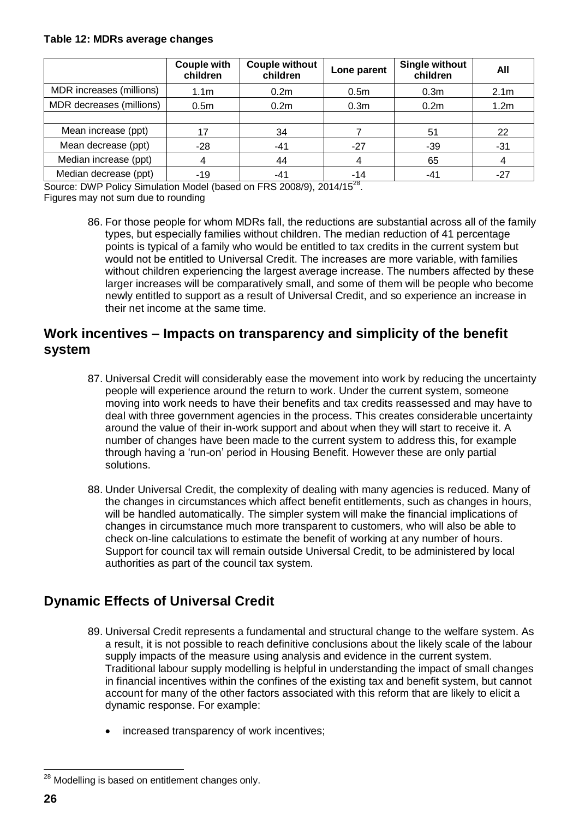#### **Table 12: MDRs average changes**

|                          | <b>Couple with</b><br>children | <b>Couple without</b><br>children | Lone parent      | <b>Single without</b><br>children | All              |
|--------------------------|--------------------------------|-----------------------------------|------------------|-----------------------------------|------------------|
| MDR increases (millions) | 1.1 <sub>m</sub>               | 0.2 <sub>m</sub>                  | 0.5 <sub>m</sub> | 0.3 <sub>m</sub>                  | 2.1 <sub>m</sub> |
| MDR decreases (millions) | 0.5 <sub>m</sub>               | 0.2 <sub>m</sub>                  | 0.3 <sub>m</sub> | 0.2 <sub>m</sub>                  | 1.2m             |
|                          |                                |                                   |                  |                                   |                  |
| Mean increase (ppt)      | 17                             | 34                                |                  | 51                                | 22               |
| Mean decrease (ppt)      | $-28$                          | $-41$                             | $-27$            | $-39$                             | $-31$            |
| Median increase (ppt)    | 4                              | 44                                |                  | 65                                |                  |
| Median decrease (ppt)    | $-19$                          | $-41$                             | -14              | $-41$                             | $-27$            |

Source: DWP Policy Simulation Model (based on FRS 2008/9), 2014/15<sup>28</sup>.

Figures may not sum due to rounding

86. For those people for whom MDRs fall, the reductions are substantial across all of the family types, but especially families without children. The median reduction of 41 percentage points is typical of a family who would be entitled to tax credits in the current system but would not be entitled to Universal Credit. The increases are more variable, with families without children experiencing the largest average increase. The numbers affected by these larger increases will be comparatively small, and some of them will be people who become newly entitled to support as a result of Universal Credit, and so experience an increase in their net income at the same time.

### **Work incentives – Impacts on transparency and simplicity of the benefit system**

- 87. Universal Credit will considerably ease the movement into work by reducing the uncertainty people will experience around the return to work. Under the current system, someone moving into work needs to have their benefits and tax credits reassessed and may have to deal with three government agencies in the process. This creates considerable uncertainty around the value of their in-work support and about when they will start to receive it. A number of changes have been made to the current system to address this, for example through having a 'run-on' period in Housing Benefit. However these are only partial solutions.
- 88. Under Universal Credit, the complexity of dealing with many agencies is reduced. Many of the changes in circumstances which affect benefit entitlements, such as changes in hours, will be handled automatically. The simpler system will make the financial implications of changes in circumstance much more transparent to customers, who will also be able to check on-line calculations to estimate the benefit of working at any number of hours. Support for council tax will remain outside Universal Credit, to be administered by local authorities as part of the council tax system.

### **Dynamic Effects of Universal Credit**

- 89. Universal Credit represents a fundamental and structural change to the welfare system. As a result, it is not possible to reach definitive conclusions about the likely scale of the labour supply impacts of the measure using analysis and evidence in the current system. Traditional labour supply modelling is helpful in understanding the impact of small changes in financial incentives within the confines of the existing tax and benefit system, but cannot account for many of the other factors associated with this reform that are likely to elicit a dynamic response. For example:
	- increased transparency of work incentives;

 $^{28}$  Modelling is based on entitlement changes only.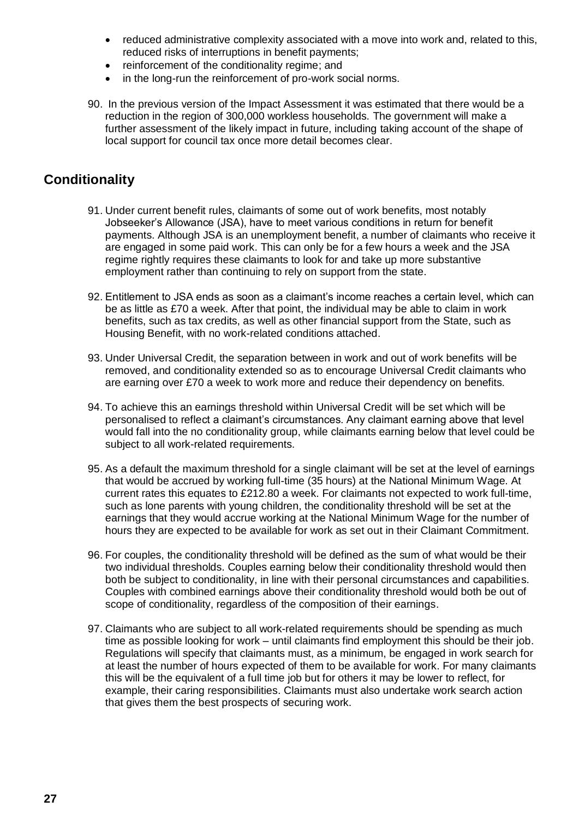- reduced administrative complexity associated with a move into work and, related to this, reduced risks of interruptions in benefit payments;
- reinforcement of the conditionality regime; and
- in the long-run the reinforcement of pro-work social norms.
- 90. In the previous version of the Impact Assessment it was estimated that there would be a reduction in the region of 300,000 workless households. The government will make a further assessment of the likely impact in future, including taking account of the shape of local support for council tax once more detail becomes clear.

### **Conditionality**

- 91. Under current benefit rules, claimants of some out of work benefits, most notably Jobseeker's Allowance (JSA), have to meet various conditions in return for benefit payments. Although JSA is an unemployment benefit, a number of claimants who receive it are engaged in some paid work. This can only be for a few hours a week and the JSA regime rightly requires these claimants to look for and take up more substantive employment rather than continuing to rely on support from the state.
- 92. Entitlement to JSA ends as soon as a claimant's income reaches a certain level, which can be as little as £70 a week. After that point, the individual may be able to claim in work benefits, such as tax credits, as well as other financial support from the State, such as Housing Benefit, with no work-related conditions attached.
- 93. Under Universal Credit, the separation between in work and out of work benefits will be removed, and conditionality extended so as to encourage Universal Credit claimants who are earning over £70 a week to work more and reduce their dependency on benefits.
- 94. To achieve this an earnings threshold within Universal Credit will be set which will be personalised to reflect a claimant's circumstances. Any claimant earning above that level would fall into the no conditionality group, while claimants earning below that level could be subject to all work-related requirements.
- 95. As a default the maximum threshold for a single claimant will be set at the level of earnings that would be accrued by working full-time (35 hours) at the National Minimum Wage. At current rates this equates to £212.80 a week. For claimants not expected to work full-time, such as lone parents with young children, the conditionality threshold will be set at the earnings that they would accrue working at the National Minimum Wage for the number of hours they are expected to be available for work as set out in their Claimant Commitment.
- 96. For couples, the conditionality threshold will be defined as the sum of what would be their two individual thresholds. Couples earning below their conditionality threshold would then both be subject to conditionality, in line with their personal circumstances and capabilities. Couples with combined earnings above their conditionality threshold would both be out of scope of conditionality, regardless of the composition of their earnings.
- 97. Claimants who are subject to all work-related requirements should be spending as much time as possible looking for work – until claimants find employment this should be their job. Regulations will specify that claimants must, as a minimum, be engaged in work search for at least the number of hours expected of them to be available for work. For many claimants this will be the equivalent of a full time job but for others it may be lower to reflect, for example, their caring responsibilities. Claimants must also undertake work search action that gives them the best prospects of securing work.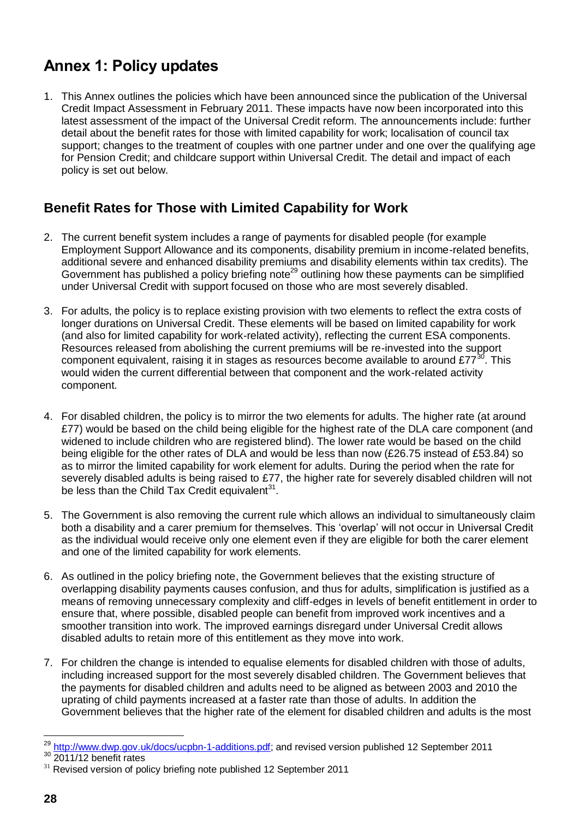# **Annex 1: Policy updates**

1. This Annex outlines the policies which have been announced since the publication of the Universal Credit Impact Assessment in February 2011. These impacts have now been incorporated into this latest assessment of the impact of the Universal Credit reform. The announcements include: further detail about the benefit rates for those with limited capability for work; localisation of council tax support; changes to the treatment of couples with one partner under and one over the qualifying age for Pension Credit; and childcare support within Universal Credit. The detail and impact of each policy is set out below.

### **Benefit Rates for Those with Limited Capability for Work**

- 2. The current benefit system includes a range of payments for disabled people (for example Employment Support Allowance and its components, disability premium in income-related benefits, additional severe and enhanced disability premiums and disability elements within tax credits). The Government has published a policy briefing note<sup>29</sup> outlining how these payments can be simplified under Universal Credit with support focused on those who are most severely disabled.
- 3. For adults, the policy is to replace existing provision with two elements to reflect the extra costs of longer durations on Universal Credit. These elements will be based on limited capability for work (and also for limited capability for work-related activity), reflecting the current ESA components. Resources released from abolishing the current premiums will be re-invested into the support component equivalent, raising it in stages as resources become available to around  $£77^{30}$ . This would widen the current differential between that component and the work-related activity component.
- 4. For disabled children, the policy is to mirror the two elements for adults. The higher rate (at around £77) would be based on the child being eligible for the highest rate of the DLA care component (and widened to include children who are registered blind). The lower rate would be based on the child being eligible for the other rates of DLA and would be less than now (£26.75 instead of £53.84) so as to mirror the limited capability for work element for adults. During the period when the rate for severely disabled adults is being raised to £77, the higher rate for severely disabled children will not be less than the Child Tax Credit equivalent $31$ .
- 5. The Government is also removing the current rule which allows an individual to simultaneously claim both a disability and a carer premium for themselves. This 'overlap' will not occur in Universal Credit as the individual would receive only one element even if they are eligible for both the carer element and one of the limited capability for work elements.
- 6. As outlined in the policy briefing note, the Government believes that the existing structure of overlapping disability payments causes confusion, and thus for adults, simplification is justified as a means of removing unnecessary complexity and cliff-edges in levels of benefit entitlement in order to ensure that, where possible, disabled people can benefit from improved work incentives and a smoother transition into work. The improved earnings disregard under Universal Credit allows disabled adults to retain more of this entitlement as they move into work.
- 7. For children the change is intended to equalise elements for disabled children with those of adults, including increased support for the most severely disabled children. The Government believes that the payments for disabled children and adults need to be aligned as between 2003 and 2010 the uprating of child payments increased at a faster rate than those of adults. In addition the Government believes that the higher rate of the element for disabled children and adults is the most

<sup>29</sup> [http://www.dwp.gov.uk/docs/ucpbn-1-additions.pdf;](http://www.dwp.gov.uk/docs/ucpbn-1-additions.pdf) and revised version published 12 September 2011

 $30$  2011/12 benefit rates

 $31$  Revised version of policy briefing note published 12 September 2011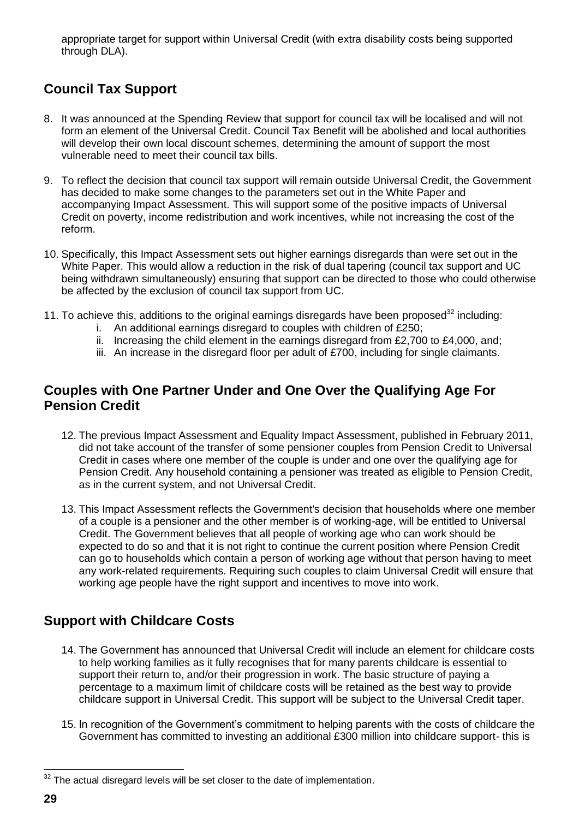appropriate target for support within Universal Credit (with extra disability costs being supported through DLA).

## **Council Tax Support**

- 8. It was announced at the Spending Review that support for council tax will be localised and will not form an element of the Universal Credit. Council Tax Benefit will be abolished and local authorities will develop their own local discount schemes, determining the amount of support the most vulnerable need to meet their council tax bills.
- 9. To reflect the decision that council tax support will remain outside Universal Credit, the Government has decided to make some changes to the parameters set out in the White Paper and accompanying Impact Assessment. This will support some of the positive impacts of Universal Credit on poverty, income redistribution and work incentives, while not increasing the cost of the reform.
- 10. Specifically, this Impact Assessment sets out higher earnings disregards than were set out in the White Paper. This would allow a reduction in the risk of dual tapering (council tax support and UC being withdrawn simultaneously) ensuring that support can be directed to those who could otherwise be affected by the exclusion of council tax support from UC.
- 11. To achieve this, additions to the original earnings disregards have been proposed $32$  including:
	- i. An additional earnings disregard to couples with children of £250;
	- ii. Increasing the child element in the earnings disregard from £2,700 to £4,000, and;
	- iii. An increase in the disregard floor per adult of £700, including for single claimants.

### **Couples with One Partner Under and One Over the Qualifying Age For Pension Credit**

- 12. The previous Impact Assessment and Equality Impact Assessment, published in February 2011, did not take account of the transfer of some pensioner couples from Pension Credit to Universal Credit in cases where one member of the couple is under and one over the qualifying age for Pension Credit. Any household containing a pensioner was treated as eligible to Pension Credit, as in the current system, and not Universal Credit.
- 13. This Impact Assessment reflects the Government's decision that households where one member of a couple is a pensioner and the other member is of working-age, will be entitled to Universal Credit. The Government believes that all people of working age who can work should be expected to do so and that it is not right to continue the current position where Pension Credit can go to households which contain a person of working age without that person having to meet any work-related requirements. Requiring such couples to claim Universal Credit will ensure that working age people have the right support and incentives to move into work.

### **Support with Childcare Costs**

- 14. The Government has announced that Universal Credit will include an element for childcare costs to help working families as it fully recognises that for many parents childcare is essential to support their return to, and/or their progression in work. The basic structure of paying a percentage to a maximum limit of childcare costs will be retained as the best way to provide childcare support in Universal Credit. This support will be subject to the Universal Credit taper.
- 15. In recognition of the Government's commitment to helping parents with the costs of childcare the Government has committed to investing an additional £300 million into childcare support- this is

 $32$  The actual disregard levels will be set closer to the date of implementation.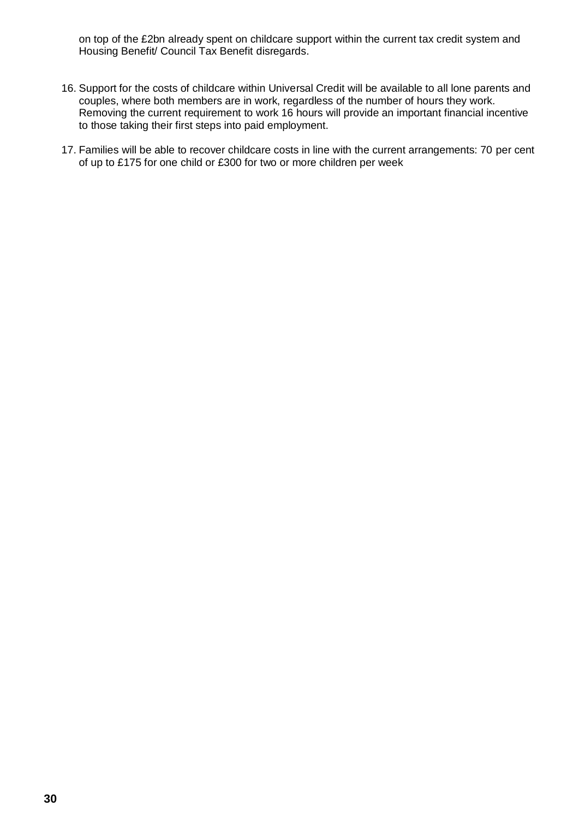on top of the £2bn already spent on childcare support within the current tax credit system and Housing Benefit/ Council Tax Benefit disregards.

- 16. Support for the costs of childcare within Universal Credit will be available to all lone parents and couples, where both members are in work, regardless of the number of hours they work. Removing the current requirement to work 16 hours will provide an important financial incentive to those taking their first steps into paid employment.
- 17. Families will be able to recover childcare costs in line with the current arrangements: 70 per cent of up to £175 for one child or £300 for two or more children per week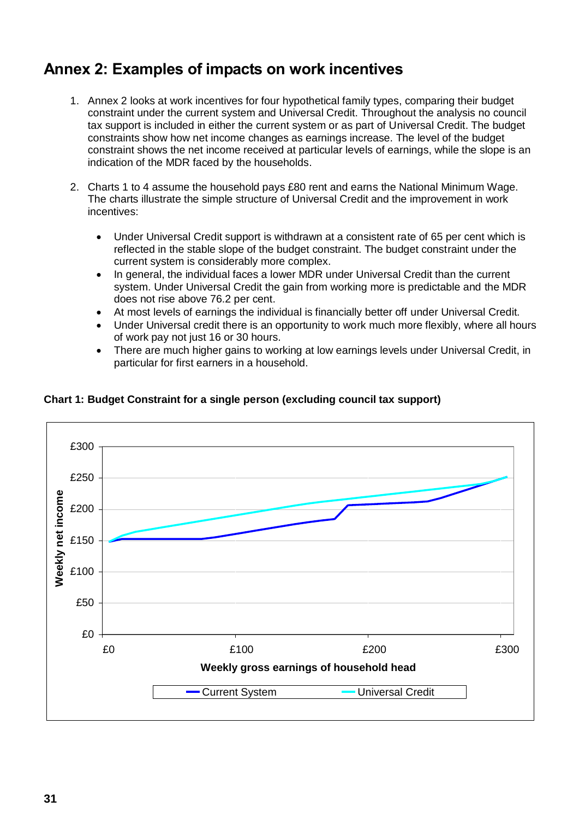# **Annex 2: Examples of impacts on work incentives**

- 1. Annex 2 looks at work incentives for four hypothetical family types, comparing their budget constraint under the current system and Universal Credit. Throughout the analysis no council tax support is included in either the current system or as part of Universal Credit. The budget constraints show how net income changes as earnings increase. The level of the budget constraint shows the net income received at particular levels of earnings, while the slope is an indication of the MDR faced by the households.
- 2. Charts 1 to 4 assume the household pays £80 rent and earns the National Minimum Wage. The charts illustrate the simple structure of Universal Credit and the improvement in work incentives:
	- Under Universal Credit support is withdrawn at a consistent rate of 65 per cent which is reflected in the stable slope of the budget constraint. The budget constraint under the current system is considerably more complex.
	- In general, the individual faces a lower MDR under Universal Credit than the current system. Under Universal Credit the gain from working more is predictable and the MDR does not rise above 76.2 per cent.
	- At most levels of earnings the individual is financially better off under Universal Credit.
	- Under Universal credit there is an opportunity to work much more flexibly, where all hours of work pay not just 16 or 30 hours.
	- There are much higher gains to working at low earnings levels under Universal Credit, in particular for first earners in a household.



#### **Chart 1: Budget Constraint for a single person (excluding council tax support)**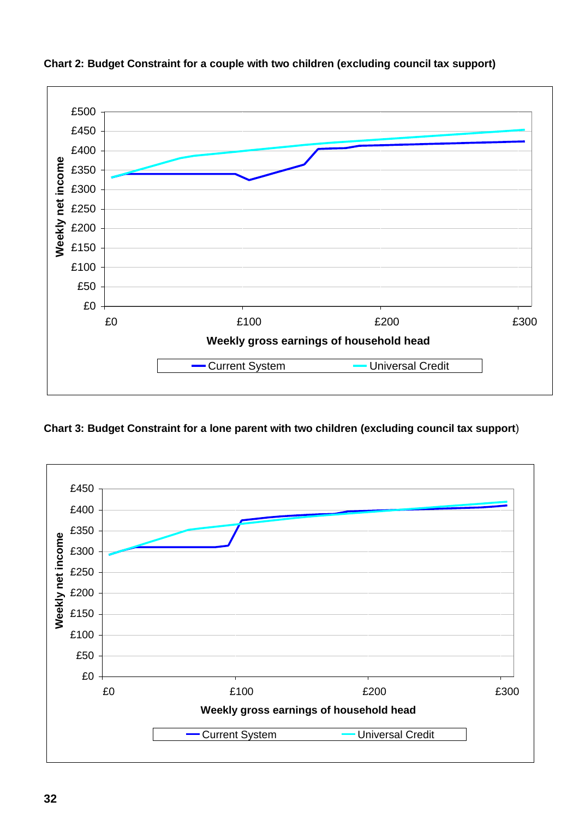

#### **Chart 2: Budget Constraint for a couple with two children (excluding council tax support)**

**Chart 3: Budget Constraint for a lone parent with two children (excluding council tax support**)

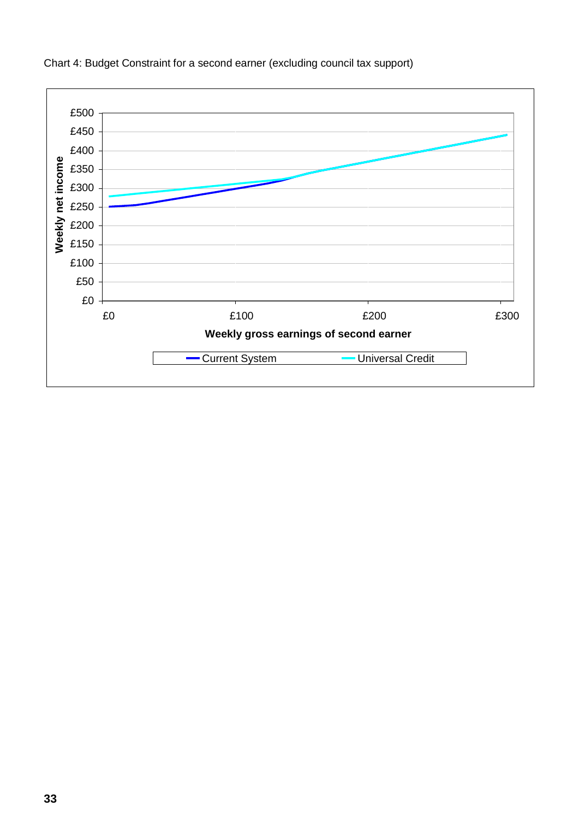

Chart 4: Budget Constraint for a second earner (excluding council tax support)